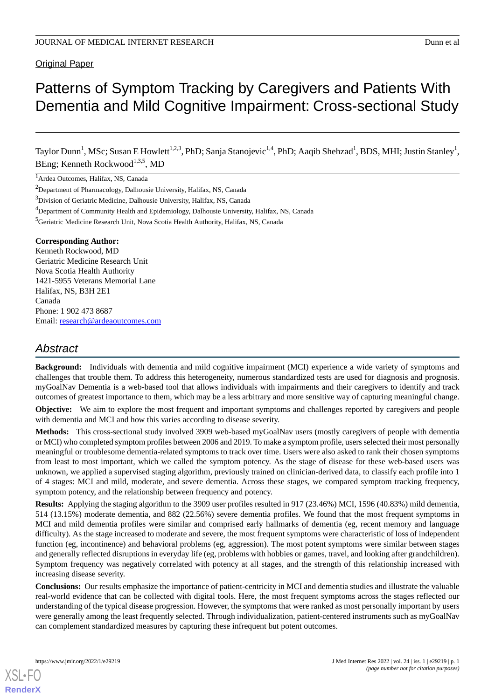# **Original Paper**

# Patterns of Symptom Tracking by Caregivers and Patients With Dementia and Mild Cognitive Impairment: Cross-sectional Study

Taylor Dunn<sup>1</sup>, MSc; Susan E Howlett<sup>1,2,3</sup>, PhD; Sanja Stanojevic<sup>1,4</sup>, PhD; Aaqib Shehzad<sup>1</sup>, BDS, MHI; Justin Stanley<sup>1</sup>, BEng; Kenneth Rockwood<sup>1,3,5</sup>, MD

<sup>1</sup>Ardea Outcomes, Halifax, NS, Canada

<sup>2</sup>Department of Pharmacology, Dalhousie University, Halifax, NS, Canada

<sup>3</sup>Division of Geriatric Medicine, Dalhousie University, Halifax, NS, Canada

<sup>5</sup>Geriatric Medicine Research Unit, Nova Scotia Health Authority, Halifax, NS, Canada

#### **Corresponding Author:**

Kenneth Rockwood, MD Geriatric Medicine Research Unit Nova Scotia Health Authority 1421-5955 Veterans Memorial Lane Halifax, NS, B3H 2E1 Canada Phone: 1 902 473 8687 Email: [research@ardeaoutcomes.com](mailto:research@ardeaoutcomes.com)

# *Abstract*

**Background:** Individuals with dementia and mild cognitive impairment (MCI) experience a wide variety of symptoms and challenges that trouble them. To address this heterogeneity, numerous standardized tests are used for diagnosis and prognosis. myGoalNav Dementia is a web-based tool that allows individuals with impairments and their caregivers to identify and track outcomes of greatest importance to them, which may be a less arbitrary and more sensitive way of capturing meaningful change.

**Objective:** We aim to explore the most frequent and important symptoms and challenges reported by caregivers and people with dementia and MCI and how this varies according to disease severity.

**Methods:** This cross-sectional study involved 3909 web-based myGoalNav users (mostly caregivers of people with dementia or MCI) who completed symptom profiles between 2006 and 2019. To make a symptom profile, users selected their most personally meaningful or troublesome dementia-related symptoms to track over time. Users were also asked to rank their chosen symptoms from least to most important, which we called the symptom potency. As the stage of disease for these web-based users was unknown, we applied a supervised staging algorithm, previously trained on clinician-derived data, to classify each profile into 1 of 4 stages: MCI and mild, moderate, and severe dementia. Across these stages, we compared symptom tracking frequency, symptom potency, and the relationship between frequency and potency.

**Results:** Applying the staging algorithm to the 3909 user profiles resulted in 917 (23.46%) MCI, 1596 (40.83%) mild dementia, 514 (13.15%) moderate dementia, and 882 (22.56%) severe dementia profiles. We found that the most frequent symptoms in MCI and mild dementia profiles were similar and comprised early hallmarks of dementia (eg, recent memory and language difficulty). As the stage increased to moderate and severe, the most frequent symptoms were characteristic of loss of independent function (eg, incontinence) and behavioral problems (eg, aggression). The most potent symptoms were similar between stages and generally reflected disruptions in everyday life (eg, problems with hobbies or games, travel, and looking after grandchildren). Symptom frequency was negatively correlated with potency at all stages, and the strength of this relationship increased with increasing disease severity.

**Conclusions:** Our results emphasize the importance of patient-centricity in MCI and dementia studies and illustrate the valuable real-world evidence that can be collected with digital tools. Here, the most frequent symptoms across the stages reflected our understanding of the typical disease progression. However, the symptoms that were ranked as most personally important by users were generally among the least frequently selected. Through individualization, patient-centered instruments such as myGoalNav can complement standardized measures by capturing these infrequent but potent outcomes.

<sup>&</sup>lt;sup>4</sup>Department of Community Health and Epidemiology, Dalhousie University, Halifax, NS, Canada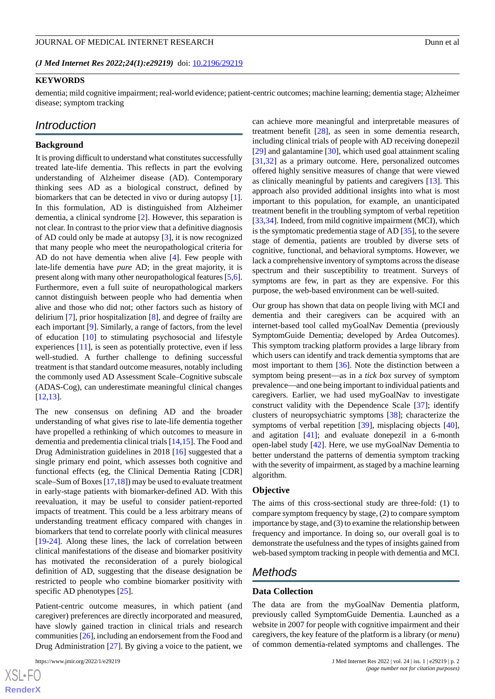*(J Med Internet Res 2022;24(1):e29219)* doi:  $10.2196/29219$ 

#### **KEYWORDS**

dementia; mild cognitive impairment; real-world evidence; patient-centric outcomes; machine learning; dementia stage; Alzheimer disease; symptom tracking

# *Introduction*

## **Background**

It is proving difficult to understand what constitutes successfully treated late-life dementia. This reflects in part the evolving understanding of Alzheimer disease (AD). Contemporary thinking sees AD as a biological construct, defined by biomarkers that can be detected in vivo or during autopsy [[1\]](#page-11-0). In this formulation, AD is distinguished from Alzheimer dementia, a clinical syndrome [\[2](#page-11-1)]. However, this separation is not clear. In contrast to the prior view that a definitive diagnosis of AD could only be made at autopsy [[3\]](#page-12-0), it is now recognized that many people who meet the neuropathological criteria for AD do not have dementia when alive [\[4](#page-12-1)]. Few people with late-life dementia have *pure* AD; in the great majority, it is present along with many other neuropathological features [[5](#page-12-2),[6\]](#page-12-3). Furthermore, even a full suite of neuropathological markers cannot distinguish between people who had dementia when alive and those who did not; other factors such as history of delirium [\[7](#page-12-4)], prior hospitalization [\[8](#page-12-5)], and degree of frailty are each important [[9\]](#page-12-6). Similarly, a range of factors, from the level of education [[10\]](#page-12-7) to stimulating psychosocial and lifestyle experiences [[11\]](#page-12-8), is seen as potentially protective, even if less well-studied. A further challenge to defining successful treatment is that standard outcome measures, notably including the commonly used AD Assessment Scale–Cognitive subscale (ADAS-Cog), can underestimate meaningful clinical changes [[12](#page-12-9)[,13](#page-12-10)].

The new consensus on defining AD and the broader understanding of what gives rise to late-life dementia together have propelled a rethinking of which outcomes to measure in dementia and predementia clinical trials [\[14](#page-12-11),[15](#page-12-12)]. The Food and Drug Administration guidelines in 2018 [[16\]](#page-12-13) suggested that a single primary end point, which assesses both cognitive and functional effects (eg, the Clinical Dementia Rating [CDR] scale–Sum of Boxes  $[17,18]$  $[17,18]$  $[17,18]$  $[17,18]$ ) may be used to evaluate treatment in early-stage patients with biomarker-defined AD. With this reevaluation, it may be useful to consider patient-reported impacts of treatment. This could be a less arbitrary means of understanding treatment efficacy compared with changes in biomarkers that tend to correlate poorly with clinical measures [[19](#page-12-16)[-24](#page-13-0)]. Along these lines, the lack of correlation between clinical manifestations of the disease and biomarker positivity has motivated the reconsideration of a purely biological definition of AD, suggesting that the disease designation be restricted to people who combine biomarker positivity with specific AD phenotypes [\[25](#page-13-1)].

Patient-centric outcome measures, in which patient (and caregiver) preferences are directly incorporated and measured, have slowly gained traction in clinical trials and research communities [\[26\]](#page-13-2), including an endorsement from the Food and Drug Administration [[27\]](#page-13-3). By giving a voice to the patient, we

can achieve more meaningful and interpretable measures of treatment benefit [[28\]](#page-13-4), as seen in some dementia research, including clinical trials of people with AD receiving donepezil [[29\]](#page-13-5) and galantamine [\[30](#page-13-6)], which used goal attainment scaling [[31,](#page-13-7)[32\]](#page-13-8) as a primary outcome. Here, personalized outcomes offered highly sensitive measures of change that were viewed as clinically meaningful by patients and caregivers [\[13](#page-12-10)]. This approach also provided additional insights into what is most important to this population, for example, an unanticipated treatment benefit in the troubling symptom of verbal repetition [[33,](#page-13-9)[34\]](#page-13-10). Indeed, from mild cognitive impairment (MCI), which is the symptomatic predementia stage of AD [\[35](#page-13-11)], to the severe stage of dementia, patients are troubled by diverse sets of cognitive, functional, and behavioral symptoms. However, we lack a comprehensive inventory of symptoms across the disease spectrum and their susceptibility to treatment. Surveys of symptoms are few, in part as they are expensive. For this purpose, the web-based environment can be well-suited.

Our group has shown that data on people living with MCI and dementia and their caregivers can be acquired with an internet-based tool called myGoalNav Dementia (previously SymptomGuide Dementia; developed by Ardea Outcomes). This symptom tracking platform provides a large library from which users can identify and track dementia symptoms that are most important to them [\[36](#page-13-12)]. Note the distinction between a symptom being present—as in a *tick box* survey of symptom prevalence—and one being important to individual patients and caregivers. Earlier, we had used myGoalNav to investigate construct validity with the Dependence Scale [\[37](#page-13-13)]; identify clusters of neuropsychiatric symptoms [[38\]](#page-13-14); characterize the symptoms of verbal repetition [\[39](#page-13-15)], misplacing objects [[40\]](#page-13-16), and agitation [\[41](#page-13-17)]; and evaluate donepezil in a 6-month open-label study [[42\]](#page-13-18). Here, we use myGoalNav Dementia to better understand the patterns of dementia symptom tracking with the severity of impairment, as staged by a machine learning algorithm.

#### **Objective**

The aims of this cross-sectional study are three-fold: (1) to compare symptom frequency by stage, (2) to compare symptom importance by stage, and (3) to examine the relationship between frequency and importance. In doing so, our overall goal is to demonstrate the usefulness and the types of insights gained from web-based symptom tracking in people with dementia and MCI.

# *Methods*

#### **Data Collection**

The data are from the myGoalNav Dementia platform, previously called SymptomGuide Dementia. Launched as a website in 2007 for people with cognitive impairment and their caregivers, the key feature of the platform is a library (or *menu*) of common dementia-related symptoms and challenges. The

```
XSL•FO
RenderX
```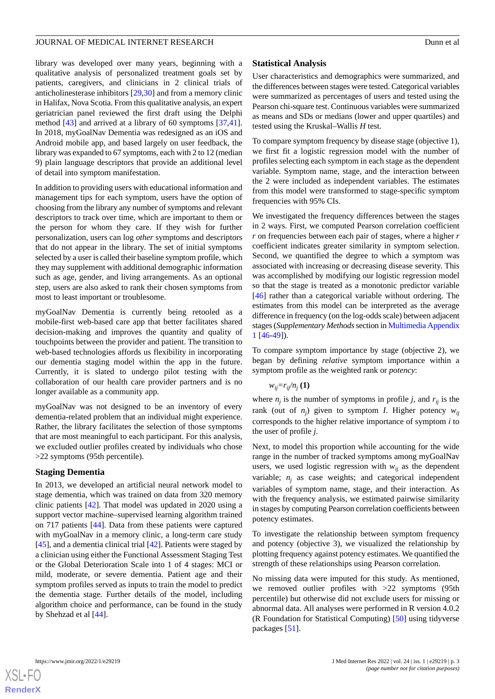library was developed over many years, beginning with a qualitative analysis of personalized treatment goals set by patients, caregivers, and clinicians in 2 clinical trials of anticholinesterase inhibitors [\[29](#page-13-5),[30\]](#page-13-6) and from a memory clinic in Halifax, Nova Scotia. From this qualitative analysis, an expert geriatrician panel reviewed the first draft using the Delphi method [[43\]](#page-13-19) and arrived at a library of 60 symptoms [\[37](#page-13-13),[41\]](#page-13-17). In 2018, myGoalNav Dementia was redesigned as an iOS and Android mobile app, and based largely on user feedback, the library was expanded to 67 symptoms, each with 2 to 12 (median 9) plain language descriptors that provide an additional level of detail into symptom manifestation.

In addition to providing users with educational information and management tips for each symptom, users have the option of choosing from the library any number of symptoms and relevant descriptors to track over time, which are important to them or the person for whom they care. If they wish for further personalization, users can log *other* symptoms and descriptors that do not appear in the library. The set of initial symptoms selected by a user is called their baseline symptom profile, which they may supplement with additional demographic information such as age, gender, and living arrangements. As an optional step, users are also asked to rank their chosen symptoms from most to least important or troublesome.

myGoalNav Dementia is currently being retooled as a mobile-first web-based care app that better facilitates shared decision-making and improves the quantity and quality of touchpoints between the provider and patient. The transition to web-based technologies affords us flexibility in incorporating our dementia staging model within the app in the future. Currently, it is slated to undergo pilot testing with the collaboration of our health care provider partners and is no longer available as a community app.

myGoalNav was not designed to be an inventory of every dementia-related problem that an individual might experience. Rather, the library facilitates the selection of those symptoms that are most meaningful to each participant. For this analysis, we excluded outlier profiles created by individuals who chose >22 symptoms (95th percentile).

## **Staging Dementia**

In 2013, we developed an artificial neural network model to stage dementia, which was trained on data from 320 memory clinic patients [[42\]](#page-13-18). That model was updated in 2020 using a support vector machine–supervised learning algorithm trained on 717 patients [[44\]](#page-13-20). Data from these patients were captured with myGoalNav in a memory clinic, a long-term care study [[45\]](#page-13-21), and a dementia clinical trial [\[42](#page-13-18)]. Patients were staged by a clinician using either the Functional Assessment Staging Test or the Global Deterioration Scale into 1 of 4 stages: MCI or mild, moderate, or severe dementia. Patient age and their symptom profiles served as inputs to train the model to predict the dementia stage. Further details of the model, including algorithm choice and performance, can be found in the study by Shehzad et al [\[44](#page-13-20)].

# **Statistical Analysis**

User characteristics and demographics were summarized, and the differences between stages were tested. Categorical variables were summarized as percentages of users and tested using the Pearson chi-square test. Continuous variables were summarized as means and SDs or medians (lower and upper quartiles) and tested using the Kruskal–Wallis *H* test.

To compare symptom frequency by disease stage (objective 1), we first fit a logistic regression model with the number of profiles selecting each symptom in each stage as the dependent variable. Symptom name, stage, and the interaction between the 2 were included as independent variables. The estimates from this model were transformed to stage-specific symptom frequencies with 95% CIs.

We investigated the frequency differences between the stages in 2 ways. First, we computed Pearson correlation coefficient *r* on frequencies between each pair of stages, where a higher *r* coefficient indicates greater similarity in symptom selection. Second, we quantified the degree to which a symptom was associated with increasing or decreasing disease severity. This was accomplished by modifying our logistic regression model so that the stage is treated as a monotonic predictor variable [[46\]](#page-13-22) rather than a categorical variable without ordering. The estimates from this model can be interpreted as the average difference in frequency (on the log-odds scale) between adjacent stages (*Supplementary Methods*section in [Multimedia Appendix](#page-11-2) [1](#page-11-2) [\[46](#page-13-22)-[49\]](#page-14-0)).

To compare symptom importance by stage (objective 2), we began by defining *relative* symptom importance within a symptom profile as the weighted rank or *potency*:

$$
w_{ij}=r_{ij}/n_j\left(\mathbf{1}\right)
$$

where  $n_j$  is the number of symptoms in profile *j*, and  $r_{ij}$  is the rank (out of  $n_j$ ) given to symptom *I*. Higher potency  $w_{i_j}$ corresponds to the higher relative importance of symptom *i* to the user of profile *j*.

Next, to model this proportion while accounting for the wide range in the number of tracked symptoms among myGoalNav users, we used logistic regression with  $w_{ij}$  as the dependent variable;  $n_i$  as case weights; and categorical independent variables of symptom name, stage, and their interaction. As with the frequency analysis, we estimated pairwise similarity in stages by computing Pearson correlation coefficients between potency estimates.

To investigate the relationship between symptom frequency and potency (objective 3), we visualized the relationship by plotting frequency against potency estimates. We quantified the strength of these relationships using Pearson correlation.

No missing data were imputed for this study. As mentioned, we removed outlier profiles with >22 symptoms (95th percentile) but otherwise did not exclude users for missing or abnormal data. All analyses were performed in R version 4.0.2 (R Foundation for Statistical Computing) [[50\]](#page-14-1) using tidyverse packages [\[51](#page-14-2)].

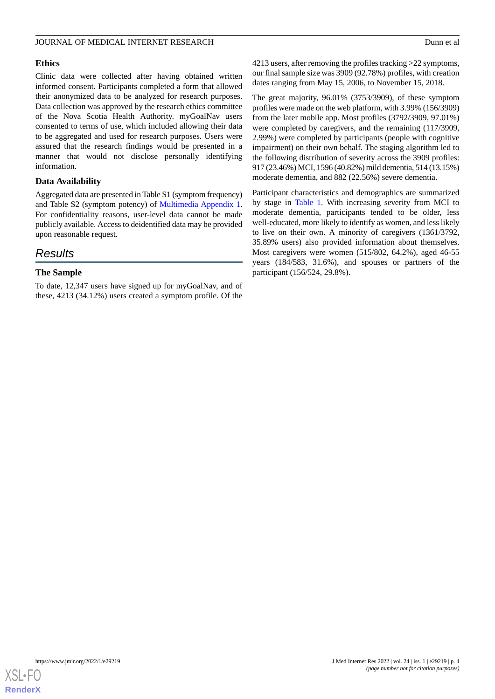#### **Ethics**

Clinic data were collected after having obtained written informed consent. Participants completed a form that allowed their anonymized data to be analyzed for research purposes. Data collection was approved by the research ethics committee of the Nova Scotia Health Authority. myGoalNav users consented to terms of use, which included allowing their data to be aggregated and used for research purposes. Users were assured that the research findings would be presented in a manner that would not disclose personally identifying information.

# **Data Availability**

Aggregated data are presented in Table S1 (symptom frequency) and Table S2 (symptom potency) of [Multimedia Appendix 1](#page-11-2). For confidentiality reasons, user-level data cannot be made publicly available. Access to deidentified data may be provided upon reasonable request.

# *Results*

## **The Sample**

To date, 12,347 users have signed up for myGoalNav, and of these, 4213 (34.12%) users created a symptom profile. Of the

4213 users, after removing the profiles tracking >22 symptoms, our final sample size was 3909 (92.78%) profiles, with creation dates ranging from May 15, 2006, to November 15, 2018.

The great majority, 96.01% (3753/3909), of these symptom profiles were made on the web platform, with 3.99% (156/3909) from the later mobile app. Most profiles (3792/3909, 97.01%) were completed by caregivers, and the remaining (117/3909, 2.99%) were completed by participants (people with cognitive impairment) on their own behalf. The staging algorithm led to the following distribution of severity across the 3909 profiles: 917 (23.46%) MCI, 1596 (40.82%) mild dementia, 514 (13.15%) moderate dementia, and 882 (22.56%) severe dementia.

Participant characteristics and demographics are summarized by stage in [Table 1](#page-4-0). With increasing severity from MCI to moderate dementia, participants tended to be older, less well-educated, more likely to identify as women, and less likely to live on their own. A minority of caregivers (1361/3792, 35.89% users) also provided information about themselves. Most caregivers were women (515/802, 64.2%), aged 46-55 years (184/583, 31.6%), and spouses or partners of the participant (156/524, 29.8%).

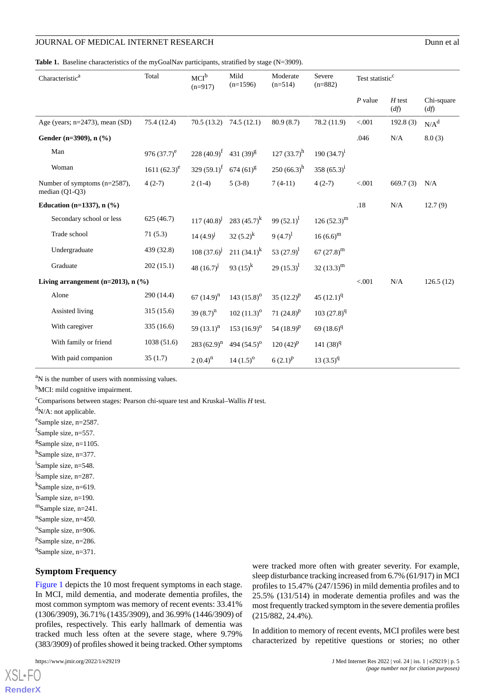<span id="page-4-0"></span>Table 1. Baseline characteristics of the myGoalNav participants, stratified by stage (N=3909).

| Characteristic <sup>a</sup>                      | Total           | $MCI^b$<br>$(n=917)$      | Mild<br>$(n=1596)$   | Moderate<br>$(n=514)$ | Severe<br>$(n=882)$ | Test statistic <sup>c</sup> |                  |                    |
|--------------------------------------------------|-----------------|---------------------------|----------------------|-----------------------|---------------------|-----------------------------|------------------|--------------------|
|                                                  |                 |                           |                      |                       |                     | $P$ value                   | $H$ test<br>(df) | Chi-square<br>(df) |
| Age (years; $n=2473$ ), mean (SD)                | 75.4 (12.4)     | 70.5(13.2)                | 74.5(12.1)           | 80.9(8.7)             | 78.2 (11.9)         | < .001                      | 192.8(3)         | $N/A^d$            |
| Gender (n=3909), $n$ (%)                         |                 |                           |                      |                       |                     | .046                        | N/A              | 8.0(3)             |
| Man                                              | 976 $(37.7)^e$  | 228 $(40.9)^f$            | 431 $(39)^8$         | 127 $(33.7)^h$        | 190 $(34.7)^{i}$    |                             |                  |                    |
| Woman                                            | 1611 $(62.3)^e$ | 329 $(59.1)$ <sup>f</sup> | $674(61)^{g}$        | $250(66.3)^h$         | 358 $(65.3)^{1}$    |                             |                  |                    |
| Number of symptoms (n=2587),<br>median $(Q1-Q3)$ | $4(2-7)$        | $2(1-4)$                  | $5(3-8)$             | $7(4-11)$             | $4(2-7)$            | < .001                      | 669.7(3)         | N/A                |
| Education (n=1337), $n$ (%)                      |                 |                           |                      |                       |                     | .18                         | N/A              | 12.7(9)            |
| Secondary school or less                         | 625(46.7)       | $117(40.8)^{j}$           | 283 $(45.7)^k$       | 99 $(52.1)^1$         | $126(52.3)^m$       |                             |                  |                    |
| Trade school                                     | 71(5.3)         | $14(4.9)^{j}$             | 32 $(5.2)^k$         | $9(4.7)^1$            | $16(6.6)^m$         |                             |                  |                    |
| Undergraduate                                    | 439 (32.8)      | $108(37.6)^{j}$           | 211 $(34.1)^k$       | 53 $(27.9)^1$         | 67 $(27.8)^m$       |                             |                  |                    |
| Graduate                                         | 202(15.1)       | 48 $(16.7)^j$             | 93 $(15)^k$          | 29 $(15.3)^1$         | 32 $(13.3)^m$       |                             |                  |                    |
| Living arrangement ( $n=2013$ ), $n$ (%)         |                 |                           |                      |                       | < .001              | N/A                         | 126.5(12)        |                    |
| Alone                                            | 290 (14.4)      | 67 $(14.9)^n$             | 143 $(15.8)^{\circ}$ | 35 $(12.2)^p$         | 45 $(12.1)^{q}$     |                             |                  |                    |
| Assisted living                                  | 315(15.6)       | 39 $(8.7)^n$              | $102 (11.3)^{\circ}$ | 71 $(24.8)^p$         | $103(27.8)^{q}$     |                             |                  |                    |
| With caregiver                                   | 335(16.6)       | 59 $(13.1)^n$             | 153 $(16.9)^{\circ}$ | 54 $(18.9)^p$         | 69 $(18.6)^{q}$     |                             |                  |                    |
| With family or friend                            | 1038(51.6)      | $283(62.9)^n$             | 494 $(54.5)^{\circ}$ | $120(42)^{p}$         | $141(38)^{q}$       |                             |                  |                    |
| With paid companion                              | 35(1.7)         | $2(0.4)^n$                | $14(1.5)^{o}$        | $6(2.1)^{p}$          | $13(3.5)^{q}$       |                             |                  |                    |

<sup>a</sup>N is the number of users with nonmissing values.

<sup>b</sup>MCI: mild cognitive impairment.

<sup>c</sup>Comparisons between stages: Pearson chi-square test and Kruskal–Wallis *H* test.

 $dN/A$ : not applicable.

e<sup>e</sup>Sample size, n=2587.

fSample size, n=557.

<sup>g</sup>Sample size, n=1105.

h<sub>Sample size, n=377.</sub>

i Sample size, n=548.

<sup>j</sup>Sample size, n=287.

k Sample size, n=619.

<sup>1</sup>Sample size, n=190.

<sup>m</sup>Sample size, n=241.

<sup>n</sup>Sample size, n=450.

<sup>o</sup>Sample size, n=906.

<sup>p</sup>Sample size, n=286.

<sup>q</sup>Sample size, n=371.

#### **Symptom Frequency**

[Figure 1](#page-5-0) depicts the 10 most frequent symptoms in each stage. In MCI, mild dementia, and moderate dementia profiles, the most common symptom was memory of recent events: 33.41% (1306/3909), 36.71% (1435/3909), and 36.99% (1446/3909) of profiles, respectively. This early hallmark of dementia was tracked much less often at the severe stage, where 9.79% (383/3909) of profiles showed it being tracked. Other symptoms

[XSL](http://www.w3.org/Style/XSL)•FO **[RenderX](http://www.renderx.com/)** were tracked more often with greater severity. For example, sleep disturbance tracking increased from 6.7% (61/917) in MCI profiles to 15.47% (247/1596) in mild dementia profiles and to 25.5% (131/514) in moderate dementia profiles and was the most frequently tracked symptom in the severe dementia profiles (215/882, 24.4%).

In addition to memory of recent events, MCI profiles were best characterized by repetitive questions or stories; no other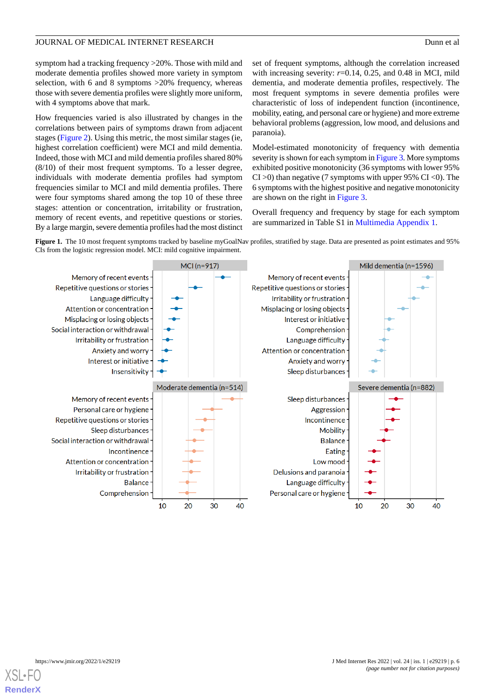symptom had a tracking frequency >20%. Those with mild and moderate dementia profiles showed more variety in symptom selection, with 6 and 8 symptoms >20% frequency, whereas those with severe dementia profiles were slightly more uniform, with 4 symptoms above that mark.

How frequencies varied is also illustrated by changes in the correlations between pairs of symptoms drawn from adjacent stages [\(Figure 2\)](#page-6-0). Using this metric, the most similar stages (ie, highest correlation coefficient) were MCI and mild dementia. Indeed, those with MCI and mild dementia profiles shared 80% (8/10) of their most frequent symptoms. To a lesser degree, individuals with moderate dementia profiles had symptom frequencies similar to MCI and mild dementia profiles. There were four symptoms shared among the top 10 of these three stages: attention or concentration, irritability or frustration, memory of recent events, and repetitive questions or stories. By a large margin, severe dementia profiles had the most distinct

set of frequent symptoms, although the correlation increased with increasing severity:  $r=0.14$ , 0.25, and 0.48 in MCI, mild dementia, and moderate dementia profiles, respectively. The most frequent symptoms in severe dementia profiles were characteristic of loss of independent function (incontinence, mobility, eating, and personal care or hygiene) and more extreme behavioral problems (aggression, low mood, and delusions and paranoia).

Model-estimated monotonicity of frequency with dementia severity is shown for each symptom in [Figure 3.](#page-7-0) More symptoms exhibited positive monotonicity (36 symptoms with lower 95%  $CI > 0$ ) than negative (7 symptoms with upper 95%  $CI < 0$ ). The 6 symptoms with the highest positive and negative monotonicity are shown on the right in [Figure 3](#page-7-0).

Overall frequency and frequency by stage for each symptom are summarized in Table S1 in [Multimedia Appendix 1.](#page-11-2)

<span id="page-5-0"></span>Figure 1. The 10 most frequent symptoms tracked by baseline myGoalNav profiles, stratified by stage. Data are presented as point estimates and 95% CIs from the logistic regression model. MCI: mild cognitive impairment.

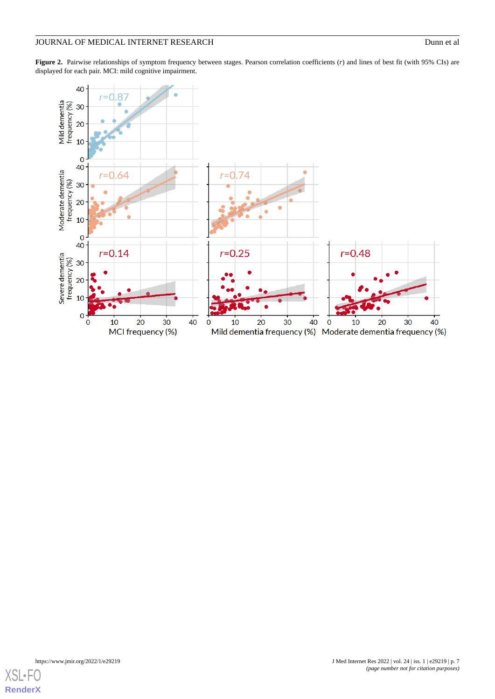<span id="page-6-0"></span>Figure 2. Pairwise relationships of symptom frequency between stages. Pearson correlation coefficients (*r*) and lines of best fit (with 95% CIs) are displayed for each pair. MCI: mild cognitive impairment.



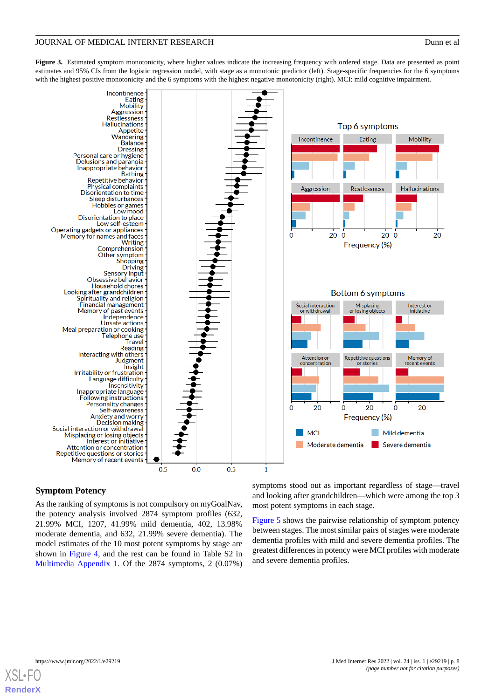<span id="page-7-0"></span>Figure 3. Estimated symptom monotonicity, where higher values indicate the increasing frequency with ordered stage. Data are presented as point estimates and 95% CIs from the logistic regression model, with stage as a monotonic predictor (left). Stage-specific frequencies for the 6 symptoms with the highest positive monotonicity and the 6 symptoms with the highest negative monotonicity (right). MCI: mild cognitive impairment.



# **Symptom Potency**

As the ranking of symptoms is not compulsory on myGoalNav, the potency analysis involved 2874 symptom profiles (632, 21.99% MCI, 1207, 41.99% mild dementia, 402, 13.98% moderate dementia, and 632, 21.99% severe dementia). The model estimates of the 10 most potent symptoms by stage are shown in [Figure 4,](#page-8-0) and the rest can be found in Table S2 in [Multimedia Appendix 1.](#page-11-2) Of the 2874 symptoms, 2 (0.07%)

symptoms stood out as important regardless of stage—travel and looking after grandchildren—which were among the top 3 most potent symptoms in each stage.

[Figure 5](#page-8-1) shows the pairwise relationship of symptom potency between stages. The most similar pairs of stages were moderate dementia profiles with mild and severe dementia profiles. The greatest differences in potency were MCI profiles with moderate and severe dementia profiles.

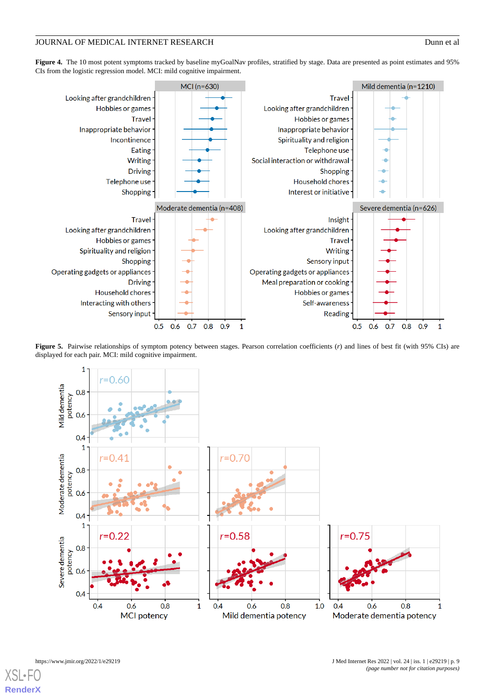<span id="page-8-0"></span>Figure 4. The 10 most potent symptoms tracked by baseline myGoalNav profiles, stratified by stage. Data are presented as point estimates and 95% CIs from the logistic regression model. MCI: mild cognitive impairment.



<span id="page-8-1"></span>Figure 5. Pairwise relationships of symptom potency between stages. Pearson correlation coefficients (*r*) and lines of best fit (with 95% CIs) are displayed for each pair. MCI: mild cognitive impairment.



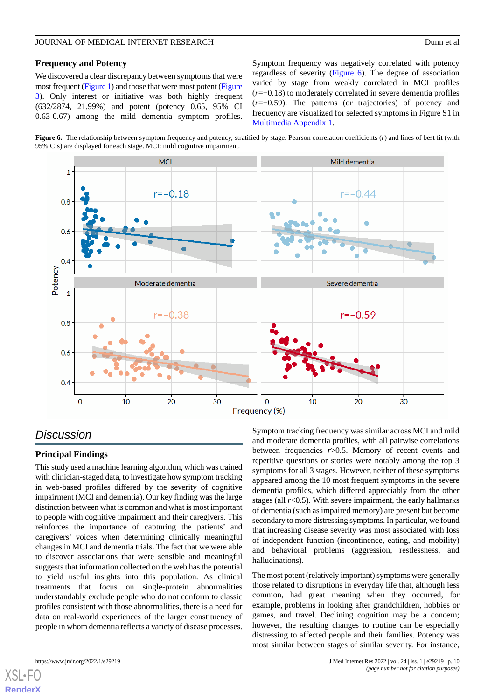### **Frequency and Potency**

We discovered a clear discrepancy between symptoms that were most frequent [\(Figure 1\)](#page-5-0) and those that were most potent [\(Figure](#page-7-0) [3\)](#page-7-0). Only interest or initiative was both highly frequent (632/2874, 21.99%) and potent (potency 0.65, 95% CI 0.63-0.67) among the mild dementia symptom profiles.

Symptom frequency was negatively correlated with potency regardless of severity ([Figure 6](#page-9-0)). The degree of association varied by stage from weakly correlated in MCI profiles (*r*=−0.18) to moderately correlated in severe dementia profiles (*r*=−0.59). The patterns (or trajectories) of potency and frequency are visualized for selected symptoms in Figure S1 in [Multimedia Appendix 1.](#page-11-2)

<span id="page-9-0"></span>**Figure 6.** The relationship between symptom frequency and potency, stratified by stage. Pearson correlation coefficients (*r*) and lines of best fit (with 95% CIs) are displayed for each stage. MCI: mild cognitive impairment.



# *Discussion*

## **Principal Findings**

This study used a machine learning algorithm, which was trained with clinician-staged data, to investigate how symptom tracking in web-based profiles differed by the severity of cognitive impairment (MCI and dementia). Our key finding was the large distinction between what is common and what is most important to people with cognitive impairment and their caregivers. This reinforces the importance of capturing the patients' and caregivers' voices when determining clinically meaningful changes in MCI and dementia trials. The fact that we were able to discover associations that were sensible and meaningful suggests that information collected on the web has the potential to yield useful insights into this population. As clinical treatments that focus on single-protein abnormalities understandably exclude people who do not conform to classic profiles consistent with those abnormalities, there is a need for data on real-world experiences of the larger constituency of people in whom dementia reflects a variety of disease processes.

Symptom tracking frequency was similar across MCI and mild and moderate dementia profiles, with all pairwise correlations between frequencies *r*>0.5. Memory of recent events and repetitive questions or stories were notably among the top 3 symptoms for all 3 stages. However, neither of these symptoms appeared among the 10 most frequent symptoms in the severe dementia profiles, which differed appreciably from the other stages (all *r*<0.5). With severe impairment, the early hallmarks of dementia (such as impaired memory) are present but become secondary to more distressing symptoms. In particular, we found that increasing disease severity was most associated with loss of independent function (incontinence, eating, and mobility) and behavioral problems (aggression, restlessness, and hallucinations).

The most potent (relatively important) symptoms were generally those related to disruptions in everyday life that, although less common, had great meaning when they occurred, for example, problems in looking after grandchildren, hobbies or games, and travel. Declining cognition may be a concern; however, the resulting changes to routine can be especially distressing to affected people and their families. Potency was most similar between stages of similar severity. For instance,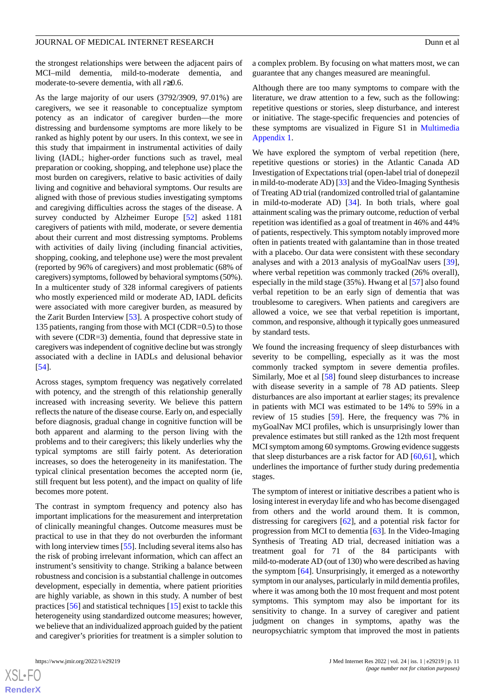the strongest relationships were between the adjacent pairs of MCI–mild dementia, mild-to-moderate dementia, and moderate-to-severe dementia, with all *r*≥0.6.

As the large majority of our users (3792/3909, 97.01%) are caregivers, we see it reasonable to conceptualize symptom potency as an indicator of caregiver burden—the more distressing and burdensome symptoms are more likely to be ranked as highly potent by our users. In this context, we see in this study that impairment in instrumental activities of daily living (IADL; higher-order functions such as travel, meal preparation or cooking, shopping, and telephone use) place the most burden on caregivers, relative to basic activities of daily living and cognitive and behavioral symptoms. Our results are aligned with those of previous studies investigating symptoms and caregiving difficulties across the stages of the disease. A survey conducted by Alzheimer Europe [[52\]](#page-14-3) asked 1181 caregivers of patients with mild, moderate, or severe dementia about their current and most distressing symptoms. Problems with activities of daily living (including financial activities, shopping, cooking, and telephone use) were the most prevalent (reported by 96% of caregivers) and most problematic (68% of caregivers) symptoms, followed by behavioral symptoms (50%). In a multicenter study of 328 informal caregivers of patients who mostly experienced mild or moderate AD, IADL deficits were associated with more caregiver burden, as measured by the Zarit Burden Interview [[53\]](#page-14-4). A prospective cohort study of 135 patients, ranging from those with MCI (CDR=0.5) to those with severe (CDR=3) dementia, found that depressive state in caregivers was independent of cognitive decline but was strongly associated with a decline in IADLs and delusional behavior [[54\]](#page-14-5).

Across stages, symptom frequency was negatively correlated with potency, and the strength of this relationship generally increased with increasing severity. We believe this pattern reflects the nature of the disease course. Early on, and especially before diagnosis, gradual change in cognitive function will be both apparent and alarming to the person living with the problems and to their caregivers; this likely underlies why the typical symptoms are still fairly potent. As deterioration increases, so does the heterogeneity in its manifestation. The typical clinical presentation becomes the accepted norm (ie, still frequent but less potent), and the impact on quality of life becomes more potent.

The contrast in symptom frequency and potency also has important implications for the measurement and interpretation of clinically meaningful changes. Outcome measures must be practical to use in that they do not overburden the informant with long interview times [\[55](#page-14-6)]. Including several items also has the risk of probing irrelevant information, which can affect an instrument's sensitivity to change. Striking a balance between robustness and concision is a substantial challenge in outcomes development, especially in dementia, where patient priorities are highly variable, as shown in this study. A number of best practices [[56\]](#page-14-7) and statistical techniques [\[15](#page-12-12)] exist to tackle this heterogeneity using standardized outcome measures; however, we believe that an individualized approach guided by the patient and caregiver's priorities for treatment is a simpler solution to

 $XS$ -FO **[RenderX](http://www.renderx.com/)** a complex problem. By focusing on what matters most, we can guarantee that any changes measured are meaningful.

Although there are too many symptoms to compare with the literature, we draw attention to a few, such as the following: repetitive questions or stories, sleep disturbance, and interest or initiative. The stage-specific frequencies and potencies of these symptoms are visualized in Figure S1 in [Multimedia](#page-11-2) [Appendix 1.](#page-11-2)

We have explored the symptom of verbal repetition (here, repetitive questions or stories) in the Atlantic Canada AD Investigation of Expectations trial (open-label trial of donepezil in mild-to-moderate AD) [\[33](#page-13-9)] and the Video-Imaging Synthesis of Treating AD trial (randomized controlled trial of galantamine in mild-to-moderate AD) [\[34](#page-13-10)]. In both trials, where goal attainment scaling was the primary outcome, reduction of verbal repetition was identified as a goal of treatment in 46% and 44% of patients, respectively. This symptom notably improved more often in patients treated with galantamine than in those treated with a placebo. Our data were consistent with these secondary analyses and with a 2013 analysis of myGoalNav users [[39\]](#page-13-15), where verbal repetition was commonly tracked (26% overall), especially in the mild stage (35%). Hwang et al [[57\]](#page-14-8) also found verbal repetition to be an early sign of dementia that was troublesome to caregivers. When patients and caregivers are allowed a voice, we see that verbal repetition is important, common, and responsive, although it typically goes unmeasured by standard tests.

We found the increasing frequency of sleep disturbances with severity to be compelling, especially as it was the most commonly tracked symptom in severe dementia profiles. Similarly, Moe et al [\[58](#page-14-9)] found sleep disturbances to increase with disease severity in a sample of 78 AD patients. Sleep disturbances are also important at earlier stages; its prevalence in patients with MCI was estimated to be 14% to 59% in a review of 15 studies [\[59](#page-14-10)]. Here, the frequency was 7% in myGoalNav MCI profiles, which is unsurprisingly lower than prevalence estimates but still ranked as the 12th most frequent MCI symptom among 60 symptoms. Growing evidence suggests that sleep disturbances are a risk factor for AD [\[60](#page-14-11),[61\]](#page-14-12), which underlines the importance of further study during predementia stages.

The symptom of interest or initiative describes a patient who is losing interest in everyday life and who has become disengaged from others and the world around them. It is common, distressing for caregivers [\[62](#page-14-13)], and a potential risk factor for progression from MCI to dementia [[63\]](#page-14-14). In the Video-Imaging Synthesis of Treating AD trial, decreased initiation was a treatment goal for 71 of the 84 participants with mild-to-moderate AD (out of 130) who were described as having the symptom [[64\]](#page-14-15). Unsurprisingly, it emerged as a noteworthy symptom in our analyses, particularly in mild dementia profiles, where it was among both the 10 most frequent and most potent symptoms. This symptom may also be important for its sensitivity to change. In a survey of caregiver and patient judgment on changes in symptoms, apathy was the neuropsychiatric symptom that improved the most in patients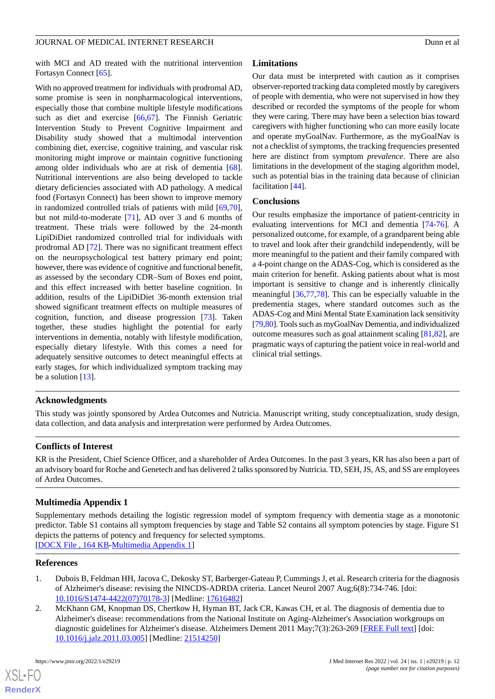with MCI and AD treated with the nutritional intervention Fortasyn Connect [\[65](#page-14-16)].

With no approved treatment for individuals with prodromal AD, some promise is seen in nonpharmacological interventions, especially those that combine multiple lifestyle modifications such as diet and exercise [\[66](#page-14-17),[67\]](#page-14-18). The Finnish Geriatric Intervention Study to Prevent Cognitive Impairment and Disability study showed that a multimodal intervention combining diet, exercise, cognitive training, and vascular risk monitoring might improve or maintain cognitive functioning among older individuals who are at risk of dementia [[68\]](#page-14-19). Nutritional interventions are also being developed to tackle dietary deficiencies associated with AD pathology. A medical food (Fortasyn Connect) has been shown to improve memory in randomized controlled trials of patients with mild [\[69](#page-14-20),[70\]](#page-14-21), but not mild-to-moderate [\[71](#page-15-0)], AD over 3 and 6 months of treatment. These trials were followed by the 24-month LipiDiDiet randomized controlled trial for individuals with prodromal AD [[72\]](#page-15-1). There was no significant treatment effect on the neuropsychological test battery primary end point; however, there was evidence of cognitive and functional benefit, as assessed by the secondary CDR–Sum of Boxes end point, and this effect increased with better baseline cognition. In addition, results of the LipiDiDiet 36-month extension trial showed significant treatment effects on multiple measures of cognition, function, and disease progression [\[73](#page-15-2)]. Taken together, these studies highlight the potential for early interventions in dementia, notably with lifestyle modification, especially dietary lifestyle. With this comes a need for adequately sensitive outcomes to detect meaningful effects at early stages, for which individualized symptom tracking may be a solution [[13\]](#page-12-10).

# **Limitations**

Our data must be interpreted with caution as it comprises observer-reported tracking data completed mostly by caregivers of people with dementia, who were not supervised in how they described or recorded the symptoms of the people for whom they were caring. There may have been a selection bias toward caregivers with higher functioning who can more easily locate and operate myGoalNav. Furthermore, as the myGoalNav is not a checklist of symptoms, the tracking frequencies presented here are distinct from symptom *prevalence*. There are also limitations in the development of the staging algorithm model, such as potential bias in the training data because of clinician facilitation [[44\]](#page-13-20).

# **Conclusions**

Our results emphasize the importance of patient-centricity in evaluating interventions for MCI and dementia [\[74](#page-15-3)-[76\]](#page-15-4). A personalized outcome, for example, of a grandparent being able to travel and look after their grandchild independently, will be more meaningful to the patient and their family compared with a 4-point change on the ADAS-Cog, which is considered as the main criterion for benefit. Asking patients about what is most important is sensitive to change and is inherently clinically meaningful [[36,](#page-13-12)[77](#page-15-5),[78\]](#page-15-6). This can be especially valuable in the predementia stages, where standard outcomes such as the ADAS-Cog and Mini Mental State Examination lack sensitivity [[79,](#page-15-7)[80\]](#page-15-8). Tools such as myGoalNav Dementia, and individualized outcome measures such as goal attainment scaling [[81](#page-15-9)[,82](#page-15-10)], are pragmatic ways of capturing the patient voice in real-world and clinical trial settings.

# **Acknowledgments**

This study was jointly sponsored by Ardea Outcomes and Nutricia. Manuscript writing, study conceptualization, study design, data collection, and data analysis and interpretation were performed by Ardea Outcomes.

# <span id="page-11-2"></span>**Conflicts of Interest**

KR is the President, Chief Science Officer, and a shareholder of Ardea Outcomes. In the past 3 years, KR has also been a part of an advisory board for Roche and Genetech and has delivered 2 talks sponsored by Nutricia. TD, SEH, JS, AS, and SS are employees of Ardea Outcomes.

# **Multimedia Appendix 1**

<span id="page-11-0"></span>Supplementary methods detailing the logistic regression model of symptom frequency with dementia stage as a monotonic predictor. Table S1 contains all symptom frequencies by stage and Table S2 contains all symptom potencies by stage. Figure S1 depicts the patterns of potency and frequency for selected symptoms. [[DOCX File , 164 KB-Multimedia Appendix 1\]](https://jmir.org/api/download?alt_name=jmir_v24i1e29219_app1.docx&filename=c413641bc9f72993103cd376d17553ca.docx)

## <span id="page-11-1"></span>**References**

- 1. Dubois B, Feldman HH, Jacova C, Dekosky ST, Barberger-Gateau P, Cummings J, et al. Research criteria for the diagnosis of Alzheimer's disease: revising the NINCDS-ADRDA criteria. Lancet Neurol 2007 Aug;6(8):734-746. [doi: [10.1016/S1474-4422\(07\)70178-3\]](http://dx.doi.org/10.1016/S1474-4422(07)70178-3) [Medline: [17616482](http://www.ncbi.nlm.nih.gov/entrez/query.fcgi?cmd=Retrieve&db=PubMed&list_uids=17616482&dopt=Abstract)]
- 2. McKhann GM, Knopman DS, Chertkow H, Hyman BT, Jack CR, Kawas CH, et al. The diagnosis of dementia due to Alzheimer's disease: recommendations from the National Institute on Aging-Alzheimer's Association workgroups on diagnostic guidelines for Alzheimer's disease. Alzheimers Dement 2011 May;7(3):263-269 [\[FREE Full text\]](http://europepmc.org/abstract/MED/21514250) [doi: [10.1016/j.jalz.2011.03.005](http://dx.doi.org/10.1016/j.jalz.2011.03.005)] [Medline: [21514250\]](http://www.ncbi.nlm.nih.gov/entrez/query.fcgi?cmd=Retrieve&db=PubMed&list_uids=21514250&dopt=Abstract)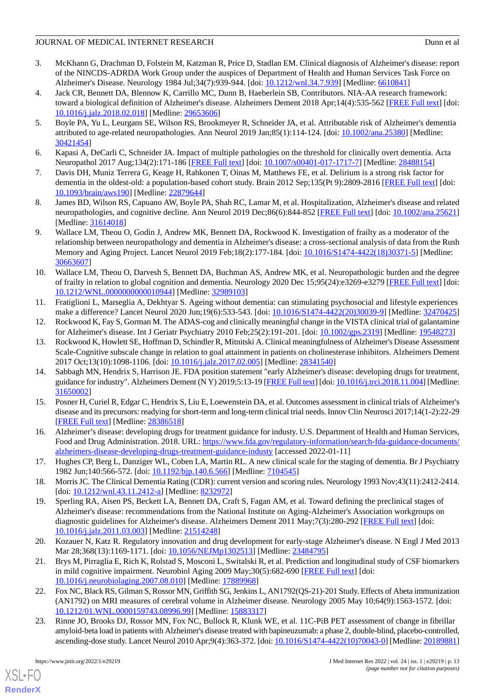- <span id="page-12-0"></span>3. McKhann G, Drachman D, Folstein M, Katzman R, Price D, Stadlan EM. Clinical diagnosis of Alzheimer's disease: report of the NINCDS-ADRDA Work Group under the auspices of Department of Health and Human Services Task Force on Alzheimer's Disease. Neurology 1984 Jul;34(7):939-944. [doi: [10.1212/wnl.34.7.939](http://dx.doi.org/10.1212/wnl.34.7.939)] [Medline: [6610841\]](http://www.ncbi.nlm.nih.gov/entrez/query.fcgi?cmd=Retrieve&db=PubMed&list_uids=6610841&dopt=Abstract)
- <span id="page-12-1"></span>4. Jack CR, Bennett DA, Blennow K, Carrillo MC, Dunn B, Haeberlein SB, Contributors. NIA-AA research framework: toward a biological definition of Alzheimer's disease. Alzheimers Dement 2018 Apr;14(4):535-562 [[FREE Full text](https://linkinghub.elsevier.com/retrieve/pii/S1552-5260(18)30072-4)] [doi: [10.1016/j.jalz.2018.02.018](http://dx.doi.org/10.1016/j.jalz.2018.02.018)] [Medline: [29653606\]](http://www.ncbi.nlm.nih.gov/entrez/query.fcgi?cmd=Retrieve&db=PubMed&list_uids=29653606&dopt=Abstract)
- <span id="page-12-2"></span>5. Boyle PA, Yu L, Leurgans SE, Wilson RS, Brookmeyer R, Schneider JA, et al. Attributable risk of Alzheimer's dementia attributed to age-related neuropathologies. Ann Neurol 2019 Jan;85(1):114-124. [doi: [10.1002/ana.25380\]](http://dx.doi.org/10.1002/ana.25380) [Medline: [30421454](http://www.ncbi.nlm.nih.gov/entrez/query.fcgi?cmd=Retrieve&db=PubMed&list_uids=30421454&dopt=Abstract)]
- <span id="page-12-4"></span><span id="page-12-3"></span>6. Kapasi A, DeCarli C, Schneider JA. Impact of multiple pathologies on the threshold for clinically overt dementia. Acta Neuropathol 2017 Aug;134(2):171-186 [\[FREE Full text](http://europepmc.org/abstract/MED/28488154)] [doi: [10.1007/s00401-017-1717-7\]](http://dx.doi.org/10.1007/s00401-017-1717-7) [Medline: [28488154\]](http://www.ncbi.nlm.nih.gov/entrez/query.fcgi?cmd=Retrieve&db=PubMed&list_uids=28488154&dopt=Abstract)
- <span id="page-12-5"></span>7. Davis DH, Muniz Terrera G, Keage H, Rahkonen T, Oinas M, Matthews FE, et al. Delirium is a strong risk factor for dementia in the oldest-old: a population-based cohort study. Brain 2012 Sep;135(Pt 9):2809-2816 [[FREE Full text](http://europepmc.org/abstract/MED/22879644)] [doi: [10.1093/brain/aws190\]](http://dx.doi.org/10.1093/brain/aws190) [Medline: [22879644](http://www.ncbi.nlm.nih.gov/entrez/query.fcgi?cmd=Retrieve&db=PubMed&list_uids=22879644&dopt=Abstract)]
- <span id="page-12-6"></span>8. James BD, Wilson RS, Capuano AW, Boyle PA, Shah RC, Lamar M, et al. Hospitalization, Alzheimer's disease and related neuropathologies, and cognitive decline. Ann Neurol 2019 Dec;86(6):844-852 [\[FREE Full text\]](http://europepmc.org/abstract/MED/31614018) [doi: [10.1002/ana.25621](http://dx.doi.org/10.1002/ana.25621)] [Medline: [31614018](http://www.ncbi.nlm.nih.gov/entrez/query.fcgi?cmd=Retrieve&db=PubMed&list_uids=31614018&dopt=Abstract)]
- <span id="page-12-7"></span>9. Wallace LM, Theou O, Godin J, Andrew MK, Bennett DA, Rockwood K. Investigation of frailty as a moderator of the relationship between neuropathology and dementia in Alzheimer's disease: a cross-sectional analysis of data from the Rush Memory and Aging Project. Lancet Neurol 2019 Feb;18(2):177-184. [doi: [10.1016/S1474-4422\(18\)30371-5\]](http://dx.doi.org/10.1016/S1474-4422(18)30371-5) [Medline: [30663607](http://www.ncbi.nlm.nih.gov/entrez/query.fcgi?cmd=Retrieve&db=PubMed&list_uids=30663607&dopt=Abstract)]
- <span id="page-12-8"></span>10. Wallace LM, Theou O, Darvesh S, Bennett DA, Buchman AS, Andrew MK, et al. Neuropathologic burden and the degree of frailty in relation to global cognition and dementia. Neurology 2020 Dec 15;95(24):e3269-e3279 [\[FREE Full text](http://europepmc.org/abstract/MED/32989103)] [doi: [10.1212/WNL.0000000000010944](http://dx.doi.org/10.1212/WNL.0000000000010944)] [Medline: [32989103\]](http://www.ncbi.nlm.nih.gov/entrez/query.fcgi?cmd=Retrieve&db=PubMed&list_uids=32989103&dopt=Abstract)
- <span id="page-12-10"></span><span id="page-12-9"></span>11. Fratiglioni L, Marseglia A, Dekhtyar S. Ageing without dementia: can stimulating psychosocial and lifestyle experiences make a difference? Lancet Neurol 2020 Jun;19(6):533-543. [doi: [10.1016/S1474-4422\(20\)30039-9\]](http://dx.doi.org/10.1016/S1474-4422(20)30039-9) [Medline: [32470425](http://www.ncbi.nlm.nih.gov/entrez/query.fcgi?cmd=Retrieve&db=PubMed&list_uids=32470425&dopt=Abstract)]
- 12. Rockwood K, Fay S, Gorman M. The ADAS-cog and clinically meaningful change in the VISTA clinical trial of galantamine for Alzheimer's disease. Int J Geriatr Psychiatry 2010 Feb;25(2):191-201. [doi: [10.1002/gps.2319\]](http://dx.doi.org/10.1002/gps.2319) [Medline: [19548273](http://www.ncbi.nlm.nih.gov/entrez/query.fcgi?cmd=Retrieve&db=PubMed&list_uids=19548273&dopt=Abstract)]
- <span id="page-12-11"></span>13. Rockwood K, Howlett SE, Hoffman D, Schindler R, Mitnitski A. Clinical meaningfulness of Alzheimer's Disease Assessment Scale-Cognitive subscale change in relation to goal attainment in patients on cholinesterase inhibitors. Alzheimers Dement 2017 Oct;13(10):1098-1106. [doi: [10.1016/j.jalz.2017.02.005\]](http://dx.doi.org/10.1016/j.jalz.2017.02.005) [Medline: [28341540\]](http://www.ncbi.nlm.nih.gov/entrez/query.fcgi?cmd=Retrieve&db=PubMed&list_uids=28341540&dopt=Abstract)
- <span id="page-12-12"></span>14. Sabbagh MN, Hendrix S, Harrison JE. FDA position statement "early Alzheimer's disease: developing drugs for treatment, guidance for industry". Alzheimers Dement (N Y) 2019;5:13-19 [[FREE Full text](https://linkinghub.elsevier.com/retrieve/pii/S2352-8737(18)30079-9)] [doi: [10.1016/j.trci.2018.11.004\]](http://dx.doi.org/10.1016/j.trci.2018.11.004) [Medline: [31650002](http://www.ncbi.nlm.nih.gov/entrez/query.fcgi?cmd=Retrieve&db=PubMed&list_uids=31650002&dopt=Abstract)]
- <span id="page-12-14"></span><span id="page-12-13"></span>15. Posner H, Curiel R, Edgar C, Hendrix S, Liu E, Loewenstein DA, et al. Outcomes assessment in clinical trials of Alzheimer's disease and its precursors: readying for short-term and long-term clinical trial needs. Innov Clin Neurosci 2017;14(1-2):22-29 [[FREE Full text](http://europepmc.org/abstract/MED/28386518)] [Medline: [28386518](http://www.ncbi.nlm.nih.gov/entrez/query.fcgi?cmd=Retrieve&db=PubMed&list_uids=28386518&dopt=Abstract)]
- <span id="page-12-15"></span>16. Alzheimer's disease: developing drugs for treatment guidance for industy. U.S. Department of Health and Human Services, Food and Drug Administration. 2018. URL: [https://www.fda.gov/regulatory-information/search-fda-guidance-documents/](https://www.fda.gov/regulatory-information/search-fda-guidance-documents/alzheimers-disease-developing-drugs-treatment-guidance-industy) [alzheimers-disease-developing-drugs-treatment-guidance-industy](https://www.fda.gov/regulatory-information/search-fda-guidance-documents/alzheimers-disease-developing-drugs-treatment-guidance-industy) [accessed 2022-01-11]
- <span id="page-12-16"></span>17. Hughes CP, Berg L, Danziger WL, Coben LA, Martin RL. A new clinical scale for the staging of dementia. Br J Psychiatry 1982 Jun;140:566-572. [doi: [10.1192/bjp.140.6.566\]](http://dx.doi.org/10.1192/bjp.140.6.566) [Medline: [7104545](http://www.ncbi.nlm.nih.gov/entrez/query.fcgi?cmd=Retrieve&db=PubMed&list_uids=7104545&dopt=Abstract)]
- 18. Morris JC. The Clinical Dementia Rating (CDR): current version and scoring rules. Neurology 1993 Nov;43(11):2412-2414. [doi: [10.1212/wnl.43.11.2412-a\]](http://dx.doi.org/10.1212/wnl.43.11.2412-a) [Medline: [8232972](http://www.ncbi.nlm.nih.gov/entrez/query.fcgi?cmd=Retrieve&db=PubMed&list_uids=8232972&dopt=Abstract)]
- 19. Sperling RA, Aisen PS, Beckett LA, Bennett DA, Craft S, Fagan AM, et al. Toward defining the preclinical stages of Alzheimer's disease: recommendations from the National Institute on Aging-Alzheimer's Association workgroups on diagnostic guidelines for Alzheimer's disease. Alzheimers Dement 2011 May;7(3):280-292 [\[FREE Full text\]](http://europepmc.org/abstract/MED/21514248) [doi: [10.1016/j.jalz.2011.03.003](http://dx.doi.org/10.1016/j.jalz.2011.03.003)] [Medline: [21514248\]](http://www.ncbi.nlm.nih.gov/entrez/query.fcgi?cmd=Retrieve&db=PubMed&list_uids=21514248&dopt=Abstract)
- 20. Kozauer N, Katz R. Regulatory innovation and drug development for early-stage Alzheimer's disease. N Engl J Med 2013 Mar 28;368(13):1169-1171. [doi: [10.1056/NEJMp1302513](http://dx.doi.org/10.1056/NEJMp1302513)] [Medline: [23484795\]](http://www.ncbi.nlm.nih.gov/entrez/query.fcgi?cmd=Retrieve&db=PubMed&list_uids=23484795&dopt=Abstract)
- 21. Brys M, Pirraglia E, Rich K, Rolstad S, Mosconi L, Switalski R, et al. Prediction and longitudinal study of CSF biomarkers in mild cognitive impairment. Neurobiol Aging 2009 May;30(5):682-690 [[FREE Full text](http://europepmc.org/abstract/MED/17889968)] [doi: [10.1016/j.neurobiolaging.2007.08.010](http://dx.doi.org/10.1016/j.neurobiolaging.2007.08.010)] [Medline: [17889968\]](http://www.ncbi.nlm.nih.gov/entrez/query.fcgi?cmd=Retrieve&db=PubMed&list_uids=17889968&dopt=Abstract)
- 22. Fox NC, Black RS, Gilman S, Rossor MN, Griffith SG, Jenkins L, AN1792(QS-21)-201 Study. Effects of Abeta immunization (AN1792) on MRI measures of cerebral volume in Alzheimer disease. Neurology 2005 May 10;64(9):1563-1572. [doi: [10.1212/01.WNL.0000159743.08996.99\]](http://dx.doi.org/10.1212/01.WNL.0000159743.08996.99) [Medline: [15883317](http://www.ncbi.nlm.nih.gov/entrez/query.fcgi?cmd=Retrieve&db=PubMed&list_uids=15883317&dopt=Abstract)]
- 23. Rinne JO, Brooks DJ, Rossor MN, Fox NC, Bullock R, Klunk WE, et al. 11C-PiB PET assessment of change in fibrillar amyloid-beta load in patients with Alzheimer's disease treated with bapineuzumab: a phase 2, double-blind, placebo-controlled, ascending-dose study. Lancet Neurol 2010 Apr;9(4):363-372. [doi: [10.1016/S1474-4422\(10\)70043-0\]](http://dx.doi.org/10.1016/S1474-4422(10)70043-0) [Medline: [20189881\]](http://www.ncbi.nlm.nih.gov/entrez/query.fcgi?cmd=Retrieve&db=PubMed&list_uids=20189881&dopt=Abstract)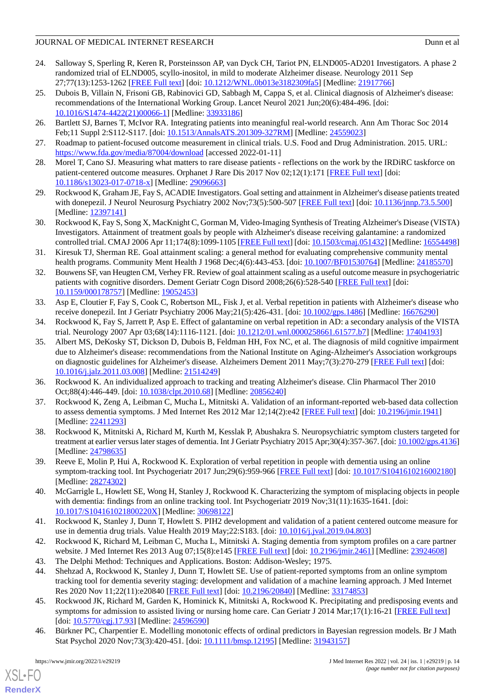- <span id="page-13-0"></span>24. Salloway S, Sperling R, Keren R, Porsteinsson AP, van Dyck CH, Tariot PN, ELND005-AD201 Investigators. A phase 2 randomized trial of ELND005, scyllo-inositol, in mild to moderate Alzheimer disease. Neurology 2011 Sep 27;77(13):1253-1262 [[FREE Full text](http://europepmc.org/abstract/MED/21917766)] [doi: [10.1212/WNL.0b013e3182309fa5](http://dx.doi.org/10.1212/WNL.0b013e3182309fa5)] [Medline: [21917766\]](http://www.ncbi.nlm.nih.gov/entrez/query.fcgi?cmd=Retrieve&db=PubMed&list_uids=21917766&dopt=Abstract)
- <span id="page-13-1"></span>25. Dubois B, Villain N, Frisoni GB, Rabinovici GD, Sabbagh M, Cappa S, et al. Clinical diagnosis of Alzheimer's disease: recommendations of the International Working Group. Lancet Neurol 2021 Jun;20(6):484-496. [doi: [10.1016/S1474-4422\(21\)00066-1\]](http://dx.doi.org/10.1016/S1474-4422(21)00066-1) [Medline: [33933186](http://www.ncbi.nlm.nih.gov/entrez/query.fcgi?cmd=Retrieve&db=PubMed&list_uids=33933186&dopt=Abstract)]
- <span id="page-13-3"></span><span id="page-13-2"></span>26. Bartlett SJ, Barnes T, McIvor RA. Integrating patients into meaningful real-world research. Ann Am Thorac Soc 2014 Feb;11 Suppl 2:S112-S117. [doi: [10.1513/AnnalsATS.201309-327RM](http://dx.doi.org/10.1513/AnnalsATS.201309-327RM)] [Medline: [24559023\]](http://www.ncbi.nlm.nih.gov/entrez/query.fcgi?cmd=Retrieve&db=PubMed&list_uids=24559023&dopt=Abstract)
- <span id="page-13-4"></span>27. Roadmap to patient-focused outcome measurement in clinical trials. U.S. Food and Drug Administration. 2015. URL: <https://www.fda.gov/media/87004/download> [accessed 2022-01-11]
- <span id="page-13-5"></span>28. Morel T, Cano SJ. Measuring what matters to rare disease patients - reflections on the work by the IRDiRC taskforce on patient-centered outcome measures. Orphanet J Rare Dis 2017 Nov 02;12(1):171 [[FREE Full text](https://ojrd.biomedcentral.com/articles/10.1186/s13023-017-0718-x)] [doi: [10.1186/s13023-017-0718-x\]](http://dx.doi.org/10.1186/s13023-017-0718-x) [Medline: [29096663](http://www.ncbi.nlm.nih.gov/entrez/query.fcgi?cmd=Retrieve&db=PubMed&list_uids=29096663&dopt=Abstract)]
- <span id="page-13-6"></span>29. Rockwood K, Graham JE, Fay S, ACADIE Investigators. Goal setting and attainment in Alzheimer's disease patients treated with donepezil. J Neurol Neurosurg Psychiatry 2002 Nov;73(5):500-507 [\[FREE Full text\]](https://jnnp.bmj.com/lookup/pmidlookup?view=long&pmid=12397141) [doi: [10.1136/jnnp.73.5.500\]](http://dx.doi.org/10.1136/jnnp.73.5.500) [Medline: [12397141](http://www.ncbi.nlm.nih.gov/entrez/query.fcgi?cmd=Retrieve&db=PubMed&list_uids=12397141&dopt=Abstract)]
- <span id="page-13-7"></span>30. Rockwood K, Fay S, Song X, MacKnight C, Gorman M, Video-Imaging Synthesis of Treating Alzheimer's Disease (VISTA) Investigators. Attainment of treatment goals by people with Alzheimer's disease receiving galantamine: a randomized controlled trial. CMAJ 2006 Apr 11;174(8):1099-1105 [\[FREE Full text\]](http://www.cmaj.ca/cgi/pmidlookup?view=long&pmid=16554498) [doi: [10.1503/cmaj.051432](http://dx.doi.org/10.1503/cmaj.051432)] [Medline: [16554498](http://www.ncbi.nlm.nih.gov/entrez/query.fcgi?cmd=Retrieve&db=PubMed&list_uids=16554498&dopt=Abstract)]
- <span id="page-13-8"></span>31. Kiresuk TJ, Sherman RE. Goal attainment scaling: a general method for evaluating comprehensive community mental health programs. Community Ment Health J 1968 Dec;4(6):443-453. [doi: [10.1007/BF01530764\]](http://dx.doi.org/10.1007/BF01530764) [Medline: [24185570\]](http://www.ncbi.nlm.nih.gov/entrez/query.fcgi?cmd=Retrieve&db=PubMed&list_uids=24185570&dopt=Abstract)
- <span id="page-13-9"></span>32. Bouwens SF, van Heugten CM, Verhey FR. Review of goal attainment scaling as a useful outcome measure in psychogeriatric patients with cognitive disorders. Dement Geriatr Cogn Disord 2008;26(6):528-540 [[FREE Full text](https://www.karger.com?DOI=10.1159/000178757)] [doi: [10.1159/000178757\]](http://dx.doi.org/10.1159/000178757) [Medline: [19052453\]](http://www.ncbi.nlm.nih.gov/entrez/query.fcgi?cmd=Retrieve&db=PubMed&list_uids=19052453&dopt=Abstract)
- <span id="page-13-11"></span><span id="page-13-10"></span>33. Asp E, Cloutier F, Fay S, Cook C, Robertson ML, Fisk J, et al. Verbal repetition in patients with Alzheimer's disease who receive donepezil. Int J Geriatr Psychiatry 2006 May;21(5):426-431. [doi: [10.1002/gps.1486](http://dx.doi.org/10.1002/gps.1486)] [Medline: [16676290](http://www.ncbi.nlm.nih.gov/entrez/query.fcgi?cmd=Retrieve&db=PubMed&list_uids=16676290&dopt=Abstract)]
- 34. Rockwood K, Fay S, Jarrett P, Asp E. Effect of galantamine on verbal repetition in AD: a secondary analysis of the VISTA trial. Neurology 2007 Apr 03;68(14):1116-1121. [doi: [10.1212/01.wnl.0000258661.61577.b7\]](http://dx.doi.org/10.1212/01.wnl.0000258661.61577.b7) [Medline: [17404193](http://www.ncbi.nlm.nih.gov/entrez/query.fcgi?cmd=Retrieve&db=PubMed&list_uids=17404193&dopt=Abstract)]
- <span id="page-13-12"></span>35. Albert MS, DeKosky ST, Dickson D, Dubois B, Feldman HH, Fox NC, et al. The diagnosis of mild cognitive impairment due to Alzheimer's disease: recommendations from the National Institute on Aging-Alzheimer's Association workgroups on diagnostic guidelines for Alzheimer's disease. Alzheimers Dement 2011 May;7(3):270-279 [[FREE Full text](http://europepmc.org/abstract/MED/21514249)] [doi: [10.1016/j.jalz.2011.03.008](http://dx.doi.org/10.1016/j.jalz.2011.03.008)] [Medline: [21514249\]](http://www.ncbi.nlm.nih.gov/entrez/query.fcgi?cmd=Retrieve&db=PubMed&list_uids=21514249&dopt=Abstract)
- <span id="page-13-14"></span><span id="page-13-13"></span>36. Rockwood K. An individualized approach to tracking and treating Alzheimer's disease. Clin Pharmacol Ther 2010 Oct;88(4):446-449. [doi: [10.1038/clpt.2010.68](http://dx.doi.org/10.1038/clpt.2010.68)] [Medline: [20856240\]](http://www.ncbi.nlm.nih.gov/entrez/query.fcgi?cmd=Retrieve&db=PubMed&list_uids=20856240&dopt=Abstract)
- <span id="page-13-15"></span>37. Rockwood K, Zeng A, Leibman C, Mucha L, Mitnitski A. Validation of an informant-reported web-based data collection to assess dementia symptoms. J Med Internet Res 2012 Mar 12;14(2):e42 [\[FREE Full text\]](https://www.jmir.org/2012/2/e42/) [doi: [10.2196/jmir.1941](http://dx.doi.org/10.2196/jmir.1941)] [Medline: [22411293](http://www.ncbi.nlm.nih.gov/entrez/query.fcgi?cmd=Retrieve&db=PubMed&list_uids=22411293&dopt=Abstract)]
- <span id="page-13-16"></span>38. Rockwood K, Mitnitski A, Richard M, Kurth M, Kesslak P, Abushakra S. Neuropsychiatric symptom clusters targeted for treatment at earlier versus later stages of dementia. Int J Geriatr Psychiatry 2015 Apr;30(4):357-367. [doi: [10.1002/gps.4136](http://dx.doi.org/10.1002/gps.4136)] [Medline: [24798635](http://www.ncbi.nlm.nih.gov/entrez/query.fcgi?cmd=Retrieve&db=PubMed&list_uids=24798635&dopt=Abstract)]
- <span id="page-13-17"></span>39. Reeve E, Molin P, Hui A, Rockwood K. Exploration of verbal repetition in people with dementia using an online symptom-tracking tool. Int Psychogeriatr 2017 Jun;29(6):959-966 [[FREE Full text](http://europepmc.org/abstract/MED/28274302)] [doi: [10.1017/S1041610216002180](http://dx.doi.org/10.1017/S1041610216002180)] [Medline: [28274302](http://www.ncbi.nlm.nih.gov/entrez/query.fcgi?cmd=Retrieve&db=PubMed&list_uids=28274302&dopt=Abstract)]
- <span id="page-13-19"></span><span id="page-13-18"></span>40. McGarrigle L, Howlett SE, Wong H, Stanley J, Rockwood K. Characterizing the symptom of misplacing objects in people with dementia: findings from an online tracking tool. Int Psychogeriatr 2019 Nov;31(11):1635-1641. [doi: [10.1017/S104161021800220X\]](http://dx.doi.org/10.1017/S104161021800220X) [Medline: [30698122](http://www.ncbi.nlm.nih.gov/entrez/query.fcgi?cmd=Retrieve&db=PubMed&list_uids=30698122&dopt=Abstract)]
- <span id="page-13-20"></span>41. Rockwood K, Stanley J, Dunn T, Howlett S. PIH2 development and validation of a patient centered outcome measure for use in dementia drug trials. Value Health 2019 May;22:S183. [doi: [10.1016/j.jval.2019.04.803](http://dx.doi.org/10.1016/j.jval.2019.04.803)]
- <span id="page-13-21"></span>42. Rockwood K, Richard M, Leibman C, Mucha L, Mitnitski A. Staging dementia from symptom profiles on a care partner website. J Med Internet Res 2013 Aug 07;15(8):e145 [\[FREE Full text\]](https://www.jmir.org/2013/8/e145/) [doi: [10.2196/jmir.2461\]](http://dx.doi.org/10.2196/jmir.2461) [Medline: [23924608](http://www.ncbi.nlm.nih.gov/entrez/query.fcgi?cmd=Retrieve&db=PubMed&list_uids=23924608&dopt=Abstract)]
- 43. The Delphi Method: Techniques and Applications. Boston: Addison-Wesley; 1975.
- <span id="page-13-22"></span>44. Shehzad A, Rockwood K, Stanley J, Dunn T, Howlett SE. Use of patient-reported symptoms from an online symptom tracking tool for dementia severity staging: development and validation of a machine learning approach. J Med Internet Res 2020 Nov 11;22(11):e20840 [[FREE Full text](https://www.jmir.org/2020/11/e20840/)] [doi: [10.2196/20840\]](http://dx.doi.org/10.2196/20840) [Medline: [33174853](http://www.ncbi.nlm.nih.gov/entrez/query.fcgi?cmd=Retrieve&db=PubMed&list_uids=33174853&dopt=Abstract)]
- 45. Rockwood JK, Richard M, Garden K, Hominick K, Mitnitski A, Rockwood K. Precipitating and predisposing events and symptoms for admission to assisted living or nursing home care. Can Geriatr J 2014 Mar;17(1):16-21 [[FREE Full text](http://europepmc.org/abstract/MED/24596590)] [doi: [10.5770/cgj.17.93](http://dx.doi.org/10.5770/cgj.17.93)] [Medline: [24596590](http://www.ncbi.nlm.nih.gov/entrez/query.fcgi?cmd=Retrieve&db=PubMed&list_uids=24596590&dopt=Abstract)]
- 46. Bürkner PC, Charpentier E. Modelling monotonic effects of ordinal predictors in Bayesian regression models. Br J Math Stat Psychol 2020 Nov;73(3):420-451. [doi: [10.1111/bmsp.12195\]](http://dx.doi.org/10.1111/bmsp.12195) [Medline: [31943157\]](http://www.ncbi.nlm.nih.gov/entrez/query.fcgi?cmd=Retrieve&db=PubMed&list_uids=31943157&dopt=Abstract)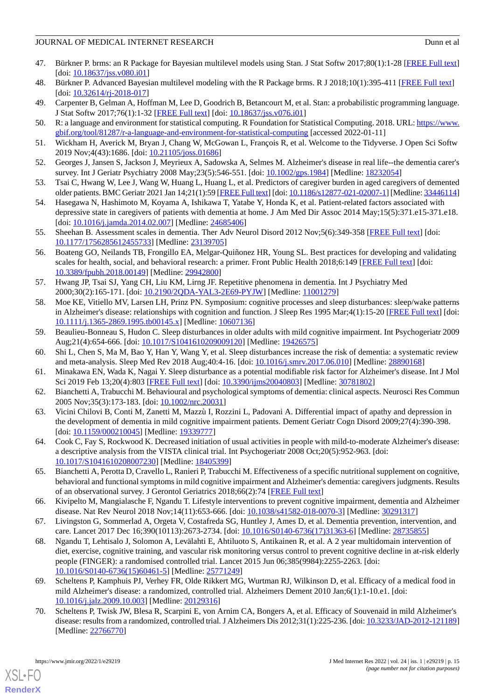- 47. Bürkner P. brms: an R Package for Bayesian multilevel models using Stan. J Stat Softw 2017;80(1):1-28 [\[FREE Full text](https://doi.org/10.18637/jss.v080.i01)]  $[doi: 10.18637/jss.v080.i01]$  $[doi: 10.18637/jss.v080.i01]$  $[doi: 10.18637/jss.v080.i01]$
- <span id="page-14-0"></span>48. Bürkner P. Advanced Bayesian multilevel modeling with the R Package brms. R J 2018;10(1):395-411 [[FREE Full text](https://doi.org/10.32614/RJ-2018-017)]  $[doi: 10.32614/rj-2018-017]$  $[doi: 10.32614/rj-2018-017]$
- <span id="page-14-1"></span>49. Carpenter B, Gelman A, Hoffman M, Lee D, Goodrich B, Betancourt M, et al. Stan: a probabilistic programming language. J Stat Softw 2017;76(1):1-32 [[FREE Full text](https://doi.org/10.18637/jss.v076.i01)] [doi: [10.18637/jss.v076.i01](http://dx.doi.org/10.18637/jss.v076.i01)]
- <span id="page-14-2"></span>50. R: a language and environment for statistical computing. R Foundation for Statistical Computing. 2018. URL: [https://www.](https://www.gbif.org/tool/81287/r-a-language-and-environment-for-statistical-computing) [gbif.org/tool/81287/r-a-language-and-environment-for-statistical-computing](https://www.gbif.org/tool/81287/r-a-language-and-environment-for-statistical-computing) [accessed 2022-01-11]
- <span id="page-14-3"></span>51. Wickham H, Averick M, Bryan J, Chang W, McGowan L, François R, et al. Welcome to the Tidyverse. J Open Sci Softw 2019 Nov;4(43):1686. [doi: [10.21105/joss.01686](http://dx.doi.org/10.21105/joss.01686)]
- <span id="page-14-4"></span>52. Georges J, Jansen S, Jackson J, Meyrieux A, Sadowska A, Selmes M. Alzheimer's disease in real life--the dementia carer's survey. Int J Geriatr Psychiatry 2008 May;23(5):546-551. [doi: [10.1002/gps.1984](http://dx.doi.org/10.1002/gps.1984)] [Medline: [18232054\]](http://www.ncbi.nlm.nih.gov/entrez/query.fcgi?cmd=Retrieve&db=PubMed&list_uids=18232054&dopt=Abstract)
- <span id="page-14-5"></span>53. Tsai C, Hwang W, Lee J, Wang W, Huang L, Huang L, et al. Predictors of caregiver burden in aged caregivers of demented older patients. BMC Geriatr 2021 Jan 14;21(1):59 [\[FREE Full text](https://bmcgeriatr.biomedcentral.com/articles/10.1186/s12877-021-02007-1)] [doi: [10.1186/s12877-021-02007-1\]](http://dx.doi.org/10.1186/s12877-021-02007-1) [Medline: [33446114\]](http://www.ncbi.nlm.nih.gov/entrez/query.fcgi?cmd=Retrieve&db=PubMed&list_uids=33446114&dopt=Abstract)
- <span id="page-14-6"></span>54. Hasegawa N, Hashimoto M, Koyama A, Ishikawa T, Yatabe Y, Honda K, et al. Patient-related factors associated with depressive state in caregivers of patients with dementia at home. J Am Med Dir Assoc 2014 May;15(5):371.e15-371.e18. [doi: [10.1016/j.jamda.2014.02.007](http://dx.doi.org/10.1016/j.jamda.2014.02.007)] [Medline: [24685406](http://www.ncbi.nlm.nih.gov/entrez/query.fcgi?cmd=Retrieve&db=PubMed&list_uids=24685406&dopt=Abstract)]
- <span id="page-14-7"></span>55. Sheehan B. Assessment scales in dementia. Ther Adv Neurol Disord 2012 Nov;5(6):349-358 [[FREE Full text](https://journals.sagepub.com/doi/10.1177/1756285612455733?url_ver=Z39.88-2003&rfr_id=ori:rid:crossref.org&rfr_dat=cr_pub%3dpubmed)] [doi: [10.1177/1756285612455733\]](http://dx.doi.org/10.1177/1756285612455733) [Medline: [23139705\]](http://www.ncbi.nlm.nih.gov/entrez/query.fcgi?cmd=Retrieve&db=PubMed&list_uids=23139705&dopt=Abstract)
- <span id="page-14-8"></span>56. Boateng GO, Neilands TB, Frongillo EA, Melgar-Quiñonez HR, Young SL. Best practices for developing and validating scales for health, social, and behavioral research: a primer. Front Public Health 2018;6:149 [[FREE Full text](https://doi.org/10.3389/fpubh.2018.00149)] [doi: [10.3389/fpubh.2018.00149](http://dx.doi.org/10.3389/fpubh.2018.00149)] [Medline: [29942800\]](http://www.ncbi.nlm.nih.gov/entrez/query.fcgi?cmd=Retrieve&db=PubMed&list_uids=29942800&dopt=Abstract)
- <span id="page-14-9"></span>57. Hwang JP, Tsai SJ, Yang CH, Liu KM, Lirng JF. Repetitive phenomena in dementia. Int J Psychiatry Med 2000;30(2):165-171. [doi: [10.2190/2QDA-YAL3-2E69-PYJW\]](http://dx.doi.org/10.2190/2QDA-YAL3-2E69-PYJW) [Medline: [11001279](http://www.ncbi.nlm.nih.gov/entrez/query.fcgi?cmd=Retrieve&db=PubMed&list_uids=11001279&dopt=Abstract)]
- <span id="page-14-11"></span><span id="page-14-10"></span>58. Moe KE, Vitiello MV, Larsen LH, Prinz PN. Symposium: cognitive processes and sleep disturbances: sleep/wake patterns in Alzheimer's disease: relationships with cognition and function. J Sleep Res 1995 Mar;4(1):15-20 [\[FREE Full text](https://onlinelibrary.wiley.com/resolve/openurl?genre=article&sid=nlm:pubmed&issn=0962-1105&date=1995&volume=4&issue=1&spage=15)] [doi: [10.1111/j.1365-2869.1995.tb00145.x\]](http://dx.doi.org/10.1111/j.1365-2869.1995.tb00145.x) [Medline: [10607136\]](http://www.ncbi.nlm.nih.gov/entrez/query.fcgi?cmd=Retrieve&db=PubMed&list_uids=10607136&dopt=Abstract)
- <span id="page-14-12"></span>59. Beaulieu-Bonneau S, Hudon C. Sleep disturbances in older adults with mild cognitive impairment. Int Psychogeriatr 2009 Aug;21(4):654-666. [doi: [10.1017/S1041610209009120\]](http://dx.doi.org/10.1017/S1041610209009120) [Medline: [19426575](http://www.ncbi.nlm.nih.gov/entrez/query.fcgi?cmd=Retrieve&db=PubMed&list_uids=19426575&dopt=Abstract)]
- <span id="page-14-13"></span>60. Shi L, Chen S, Ma M, Bao Y, Han Y, Wang Y, et al. Sleep disturbances increase the risk of dementia: a systematic review and meta-analysis. Sleep Med Rev 2018 Aug;40:4-16. [doi: [10.1016/j.smrv.2017.06.010\]](http://dx.doi.org/10.1016/j.smrv.2017.06.010) [Medline: [28890168\]](http://www.ncbi.nlm.nih.gov/entrez/query.fcgi?cmd=Retrieve&db=PubMed&list_uids=28890168&dopt=Abstract)
- <span id="page-14-14"></span>61. Minakawa EN, Wada K, Nagai Y. Sleep disturbance as a potential modifiable risk factor for Alzheimer's disease. Int J Mol Sci 2019 Feb 13;20(4):803 [[FREE Full text](https://www.mdpi.com/resolver?pii=ijms20040803)] [doi: [10.3390/ijms20040803](http://dx.doi.org/10.3390/ijms20040803)] [Medline: [30781802\]](http://www.ncbi.nlm.nih.gov/entrez/query.fcgi?cmd=Retrieve&db=PubMed&list_uids=30781802&dopt=Abstract)
- <span id="page-14-15"></span>62. Bianchetti A, Trabucchi M. Behavioural and psychological symptoms of dementia: clinical aspects. Neurosci Res Commun 2005 Nov;35(3):173-183. [doi: [10.1002/nrc.20031\]](http://dx.doi.org/10.1002/nrc.20031)
- <span id="page-14-16"></span>63. Vicini Chilovi B, Conti M, Zanetti M, Mazzù I, Rozzini L, Padovani A. Differential impact of apathy and depression in the development of dementia in mild cognitive impairment patients. Dement Geriatr Cogn Disord 2009;27(4):390-398. [doi: [10.1159/000210045](http://dx.doi.org/10.1159/000210045)] [Medline: [19339777\]](http://www.ncbi.nlm.nih.gov/entrez/query.fcgi?cmd=Retrieve&db=PubMed&list_uids=19339777&dopt=Abstract)
- <span id="page-14-17"></span>64. Cook C, Fay S, Rockwood K. Decreased initiation of usual activities in people with mild-to-moderate Alzheimer's disease: a descriptive analysis from the VISTA clinical trial. Int Psychogeriatr 2008 Oct;20(5):952-963. [doi: [10.1017/S1041610208007230](http://dx.doi.org/10.1017/S1041610208007230)] [Medline: [18405399](http://www.ncbi.nlm.nih.gov/entrez/query.fcgi?cmd=Retrieve&db=PubMed&list_uids=18405399&dopt=Abstract)]
- <span id="page-14-18"></span>65. Bianchetti A, Perotta D, Cravello L, Ranieri P, Trabucchi M. Effectiveness of a specific nutritional supplement on cognitive, behavioral and functional symptoms in mild cognitive impairment and Alzheimer's dementia: caregivers judgments. Results of an observational survey. J Gerontol Geriatrics 2018;66(2):74 [[FREE Full text\]](http://www.jgerontology-geriatrics.com/article/view/109)
- <span id="page-14-19"></span>66. Kivipelto M, Mangialasche F, Ngandu T. Lifestyle interventions to prevent cognitive impairment, dementia and Alzheimer disease. Nat Rev Neurol 2018 Nov;14(11):653-666. [doi: [10.1038/s41582-018-0070-3\]](http://dx.doi.org/10.1038/s41582-018-0070-3) [Medline: [30291317](http://www.ncbi.nlm.nih.gov/entrez/query.fcgi?cmd=Retrieve&db=PubMed&list_uids=30291317&dopt=Abstract)]
- <span id="page-14-20"></span>67. Livingston G, Sommerlad A, Orgeta V, Costafreda SG, Huntley J, Ames D, et al. Dementia prevention, intervention, and care. Lancet 2017 Dec 16;390(10113):2673-2734. [doi: [10.1016/S0140-6736\(17\)31363-6](http://dx.doi.org/10.1016/S0140-6736(17)31363-6)] [Medline: [28735855\]](http://www.ncbi.nlm.nih.gov/entrez/query.fcgi?cmd=Retrieve&db=PubMed&list_uids=28735855&dopt=Abstract)
- <span id="page-14-21"></span>68. Ngandu T, Lehtisalo J, Solomon A, Levälahti E, Ahtiluoto S, Antikainen R, et al. A 2 year multidomain intervention of diet, exercise, cognitive training, and vascular risk monitoring versus control to prevent cognitive decline in at-risk elderly people (FINGER): a randomised controlled trial. Lancet 2015 Jun 06;385(9984):2255-2263. [doi: [10.1016/S0140-6736\(15\)60461-5\]](http://dx.doi.org/10.1016/S0140-6736(15)60461-5) [Medline: [25771249](http://www.ncbi.nlm.nih.gov/entrez/query.fcgi?cmd=Retrieve&db=PubMed&list_uids=25771249&dopt=Abstract)]
- 69. Scheltens P, Kamphuis PJ, Verhey FR, Olde Rikkert MG, Wurtman RJ, Wilkinson D, et al. Efficacy of a medical food in mild Alzheimer's disease: a randomized, controlled trial. Alzheimers Dement 2010 Jan;6(1):1-10.e1. [doi: [10.1016/j.jalz.2009.10.003](http://dx.doi.org/10.1016/j.jalz.2009.10.003)] [Medline: [20129316\]](http://www.ncbi.nlm.nih.gov/entrez/query.fcgi?cmd=Retrieve&db=PubMed&list_uids=20129316&dopt=Abstract)
- 70. Scheltens P, Twisk JW, Blesa R, Scarpini E, von Arnim CA, Bongers A, et al. Efficacy of Souvenaid in mild Alzheimer's disease: results from a randomized, controlled trial. J Alzheimers Dis 2012;31(1):225-236. [doi: [10.3233/JAD-2012-121189\]](http://dx.doi.org/10.3233/JAD-2012-121189) [Medline: [22766770](http://www.ncbi.nlm.nih.gov/entrez/query.fcgi?cmd=Retrieve&db=PubMed&list_uids=22766770&dopt=Abstract)]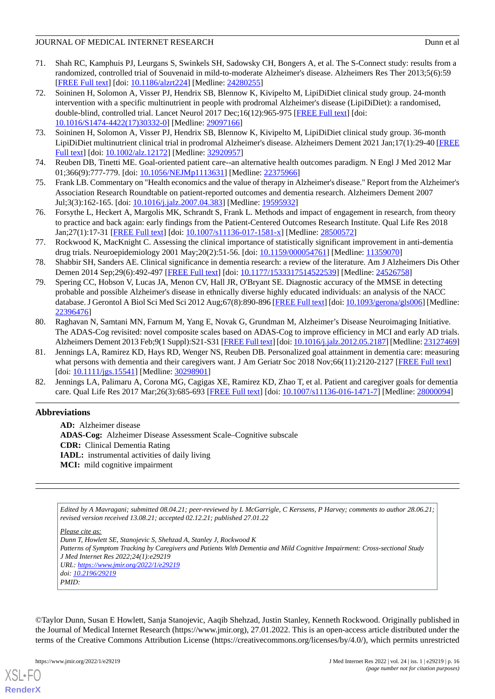- <span id="page-15-0"></span>71. Shah RC, Kamphuis PJ, Leurgans S, Swinkels SH, Sadowsky CH, Bongers A, et al. The S-Connect study: results from a randomized, controlled trial of Souvenaid in mild-to-moderate Alzheimer's disease. Alzheimers Res Ther 2013;5(6):59 [[FREE Full text](https://alzres.biomedcentral.com/articles/10.1186/alzrt224)] [doi: [10.1186/alzrt224\]](http://dx.doi.org/10.1186/alzrt224) [Medline: [24280255](http://www.ncbi.nlm.nih.gov/entrez/query.fcgi?cmd=Retrieve&db=PubMed&list_uids=24280255&dopt=Abstract)]
- <span id="page-15-1"></span>72. Soininen H, Solomon A, Visser PJ, Hendrix SB, Blennow K, Kivipelto M, LipiDiDiet clinical study group. 24-month intervention with a specific multinutrient in people with prodromal Alzheimer's disease (LipiDiDiet): a randomised, double-blind, controlled trial. Lancet Neurol 2017 Dec;16(12):965-975 [[FREE Full text](https://linkinghub.elsevier.com/retrieve/pii/S1474-4422(17)30332-0)] [doi: [10.1016/S1474-4422\(17\)30332-0\]](http://dx.doi.org/10.1016/S1474-4422(17)30332-0) [Medline: [29097166](http://www.ncbi.nlm.nih.gov/entrez/query.fcgi?cmd=Retrieve&db=PubMed&list_uids=29097166&dopt=Abstract)]
- <span id="page-15-3"></span><span id="page-15-2"></span>73. Soininen H, Solomon A, Visser PJ, Hendrix SB, Blennow K, Kivipelto M, LipiDiDiet clinical study group. 36-month LipiDiDiet multinutrient clinical trial in prodromal Alzheimer's disease. Alzheimers Dement 2021 Jan;17(1):29-40 [\[FREE](http://europepmc.org/abstract/MED/32920957) [Full text\]](http://europepmc.org/abstract/MED/32920957) [doi: [10.1002/alz.12172\]](http://dx.doi.org/10.1002/alz.12172) [Medline: [32920957](http://www.ncbi.nlm.nih.gov/entrez/query.fcgi?cmd=Retrieve&db=PubMed&list_uids=32920957&dopt=Abstract)]
- 74. Reuben DB, Tinetti ME. Goal-oriented patient care--an alternative health outcomes paradigm. N Engl J Med 2012 Mar 01;366(9):777-779. [doi: [10.1056/NEJMp1113631\]](http://dx.doi.org/10.1056/NEJMp1113631) [Medline: [22375966\]](http://www.ncbi.nlm.nih.gov/entrez/query.fcgi?cmd=Retrieve&db=PubMed&list_uids=22375966&dopt=Abstract)
- <span id="page-15-4"></span>75. Frank LB. Commentary on "Health economics and the value of therapy in Alzheimer's disease." Report from the Alzheimer's Association Research Roundtable on patient-reported outcomes and dementia research. Alzheimers Dement 2007 Jul;3(3):162-165. [doi: [10.1016/j.jalz.2007.04.383\]](http://dx.doi.org/10.1016/j.jalz.2007.04.383) [Medline: [19595932](http://www.ncbi.nlm.nih.gov/entrez/query.fcgi?cmd=Retrieve&db=PubMed&list_uids=19595932&dopt=Abstract)]
- <span id="page-15-5"></span>76. Forsythe L, Heckert A, Margolis MK, Schrandt S, Frank L. Methods and impact of engagement in research, from theory to practice and back again: early findings from the Patient-Centered Outcomes Research Institute. Qual Life Res 2018 Jan;27(1):17-31 [\[FREE Full text\]](http://europepmc.org/abstract/MED/28500572) [doi: [10.1007/s11136-017-1581-x](http://dx.doi.org/10.1007/s11136-017-1581-x)] [Medline: [28500572\]](http://www.ncbi.nlm.nih.gov/entrez/query.fcgi?cmd=Retrieve&db=PubMed&list_uids=28500572&dopt=Abstract)
- <span id="page-15-6"></span>77. Rockwood K, MacKnight C. Assessing the clinical importance of statistically significant improvement in anti-dementia drug trials. Neuroepidemiology 2001 May;20(2):51-56. [doi: [10.1159/000054761\]](http://dx.doi.org/10.1159/000054761) [Medline: [11359070\]](http://www.ncbi.nlm.nih.gov/entrez/query.fcgi?cmd=Retrieve&db=PubMed&list_uids=11359070&dopt=Abstract)
- <span id="page-15-7"></span>78. Shabbir SH, Sanders AE. Clinical significance in dementia research: a review of the literature. Am J Alzheimers Dis Other Demen 2014 Sep;29(6):492-497 [[FREE Full text](https://journals.sagepub.com/doi/10.1177/1533317514522539?url_ver=Z39.88-2003&rfr_id=ori:rid:crossref.org&rfr_dat=cr_pub%3dpubmed)] [doi: [10.1177/1533317514522539\]](http://dx.doi.org/10.1177/1533317514522539) [Medline: [24526758](http://www.ncbi.nlm.nih.gov/entrez/query.fcgi?cmd=Retrieve&db=PubMed&list_uids=24526758&dopt=Abstract)]
- <span id="page-15-8"></span>79. Spering CC, Hobson V, Lucas JA, Menon CV, Hall JR, O'Bryant SE. Diagnostic accuracy of the MMSE in detecting probable and possible Alzheimer's disease in ethnically diverse highly educated individuals: an analysis of the NACC database. J Gerontol A Biol Sci Med Sci 2012 Aug;67(8):890-896 [\[FREE Full text](http://europepmc.org/abstract/MED/22396476)] [doi: [10.1093/gerona/gls006](http://dx.doi.org/10.1093/gerona/gls006)] [Medline: [22396476](http://www.ncbi.nlm.nih.gov/entrez/query.fcgi?cmd=Retrieve&db=PubMed&list_uids=22396476&dopt=Abstract)]
- <span id="page-15-9"></span>80. Raghavan N, Samtani MN, Farnum M, Yang E, Novak G, Grundman M, Alzheimer's Disease Neuroimaging Initiative. The ADAS-Cog revisited: novel composite scales based on ADAS-Cog to improve efficiency in MCI and early AD trials. Alzheimers Dement 2013 Feb;9(1 Suppl):S21-S31 [\[FREE Full text\]](http://europepmc.org/abstract/MED/23127469) [doi: [10.1016/j.jalz.2012.05.2187](http://dx.doi.org/10.1016/j.jalz.2012.05.2187)] [Medline: [23127469\]](http://www.ncbi.nlm.nih.gov/entrez/query.fcgi?cmd=Retrieve&db=PubMed&list_uids=23127469&dopt=Abstract)
- <span id="page-15-10"></span>81. Jennings LA, Ramirez KD, Hays RD, Wenger NS, Reuben DB. Personalized goal attainment in dementia care: measuring what persons with dementia and their caregivers want. J Am Geriatr Soc 2018 Nov;66(11):2120-2127 [\[FREE Full text\]](http://europepmc.org/abstract/MED/30298901) [doi: [10.1111/jgs.15541](http://dx.doi.org/10.1111/jgs.15541)] [Medline: [30298901](http://www.ncbi.nlm.nih.gov/entrez/query.fcgi?cmd=Retrieve&db=PubMed&list_uids=30298901&dopt=Abstract)]
- 82. Jennings LA, Palimaru A, Corona MG, Cagigas XE, Ramirez KD, Zhao T, et al. Patient and caregiver goals for dementia care. Qual Life Res 2017 Mar;26(3):685-693 [\[FREE Full text\]](http://europepmc.org/abstract/MED/28000094) [doi: [10.1007/s11136-016-1471-7](http://dx.doi.org/10.1007/s11136-016-1471-7)] [Medline: [28000094\]](http://www.ncbi.nlm.nih.gov/entrez/query.fcgi?cmd=Retrieve&db=PubMed&list_uids=28000094&dopt=Abstract)

# **Abbreviations**

**AD:** Alzheimer disease **ADAS-Cog:** Alzheimer Disease Assessment Scale–Cognitive subscale **CDR:** Clinical Dementia Rating **IADL:** instrumental activities of daily living **MCI:** mild cognitive impairment

*Edited by A Mavragani; submitted 08.04.21; peer-reviewed by L McGarrigle, C Kerssens, P Harvey; comments to author 28.06.21; revised version received 13.08.21; accepted 02.12.21; published 27.01.22*

*Please cite as:*

*Dunn T, Howlett SE, Stanojevic S, Shehzad A, Stanley J, Rockwood K Patterns of Symptom Tracking by Caregivers and Patients With Dementia and Mild Cognitive Impairment: Cross-sectional Study J Med Internet Res 2022;24(1):e29219 URL: <https://www.jmir.org/2022/1/e29219> doi: [10.2196/29219](http://dx.doi.org/10.2196/29219) PMID:*

©Taylor Dunn, Susan E Howlett, Sanja Stanojevic, Aaqib Shehzad, Justin Stanley, Kenneth Rockwood. Originally published in the Journal of Medical Internet Research (https://www.jmir.org), 27.01.2022. This is an open-access article distributed under the terms of the Creative Commons Attribution License (https://creativecommons.org/licenses/by/4.0/), which permits unrestricted